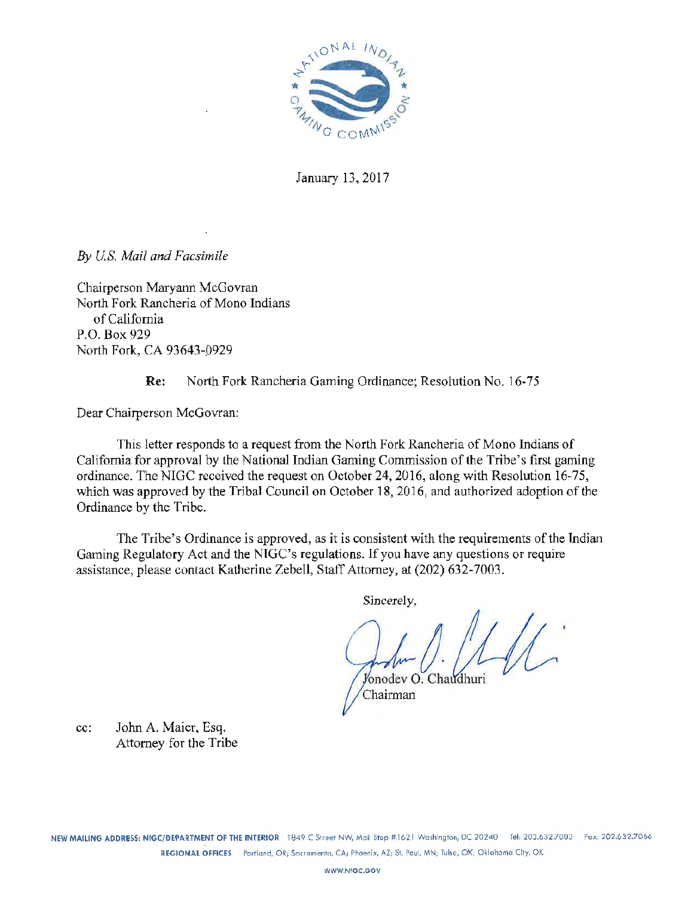

January 13, 2017

*By U.S. Mail and Facsimile* 

Chairperson Maryann McGovran North Fork Rancheria of Mono Indians of California P.O. Box 929 North Fork, CA 93643-0929

Re: North Fork Rancheria Gaming Ordinance; Resolution No. 16-75

Dear Chairperson McGovran:

This letter responds to a request from the North Fork Rancheria of Mono Indians of California for approval by the National Indian Gaming Commission of the Tribe's first gaming ordinance. The NIGC received the request on October 24, 2016, along with Resolution 16-75, which was approved by the Tribal Council on October 18, 2016, and authorized adoption of the Ordinance by the Tribe.

The Tribe's Ordinance is approved, as it is consistent with the requirements of the Indian Gaming Regulatory Act and the NTGC's regulations. If you have any questions or require assistance, please contact Katherine Zebell, Staff Attorney, at (202) 632-7003.

Sincerely,

 $\int_{\text{onodev}}$   $\int_{\text{onodev}}$   $\int_{\text{onodev}}$ Chairman

cc: John A. Maier, Esq. Attorney for the Tribe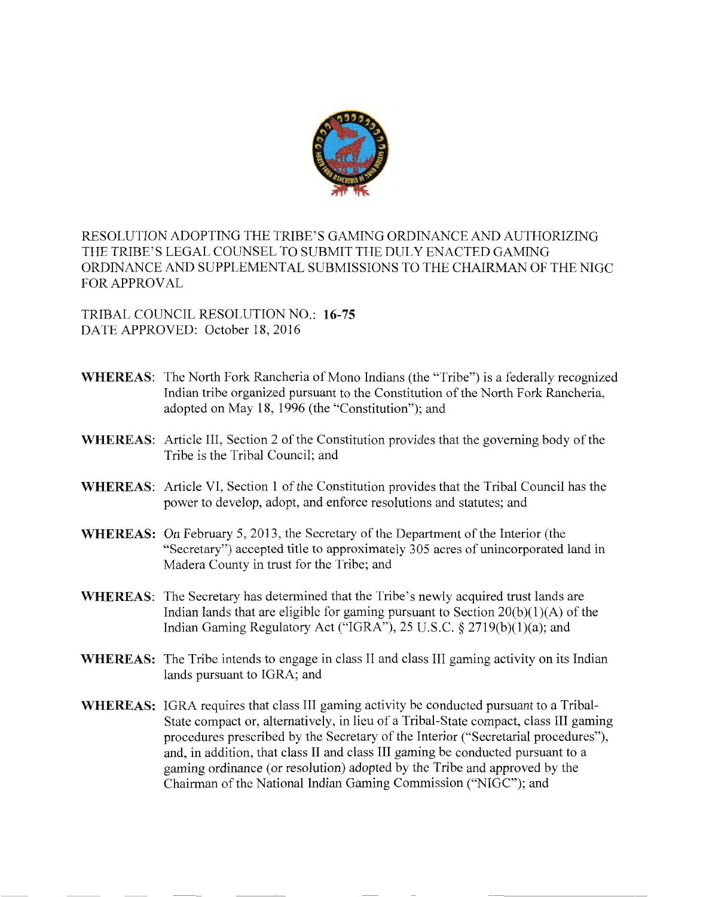

RESOLUTION ADOPTING THE TRIBE' S GAMING ORDINANCE AND AUTHORIZING THE TRIBE'S LEGAL COUNSEL TO SUBMIT THE DULY ENACTED GAMING ORDINANCE AND SUPPLEMENTAL SUBMISSIONS TO THE CHAIRMAN OF THE NIGC FOR APPROVAL

TRIBAL COUNCIL RESOLUTION NO.: **16-75**  DATE APPROVED: October 18, 2016

- **WHEREAS:** The North Fork Rancheria of Mono Indians (the "Tribe") is a federally recognized Indian tribe organized pursuant to the Constitution of the North Fork Rancheria, adopted on May 18, 1996 (the "Constitution"); and
- **WHEREAS:** Article III, Section 2 of the Constitution provides that the governing body of the Tribe is the Tribal Council; and
- **WHEREAS:** Article VI, Section 1 of the Constitution provides that the Tribal Council has the power to develop, adopt, and enforce resolutions and statutes; and
- **WHEREAS:** On February 5, 2013, the Secretary of the Department of the Interior (the "Secretary") accepted title to approximately 305 acres of unincorporated land in Madera County in trust for the Tribe; and
- **WHEREAS:** The Secretary has determined that the Tribe's newly acquired trust lands are Indian lands that are eligible for gaming pursuant to Section  $20(b)(1)(A)$  of the Indian Gaming Regulatory Act ("IGRA"), 25 U.S.C.  $\S 2719(b)(1)(a)$ ; and
- **WHEREAS:** The Tribe intends to engage in class II and class III gaming activity on its Indian lands pursuant to IGRA; and
- **WHEREAS:** IGRA requires that class III gaming activity be conducted pursuant to a Tribal-State compact or, alternatively, in lieu of a Tribal-State compact, class III gaming procedures prescribed by the Secretary of the Interior ("Secretarial procedures"), and, in addition, that class II and class III gaming be conducted pursuant to a gaming ordinance (or resolution) adopted by the Tribe and approved by the Chairman of the National Indian Gaming Commission ("NIGC"); and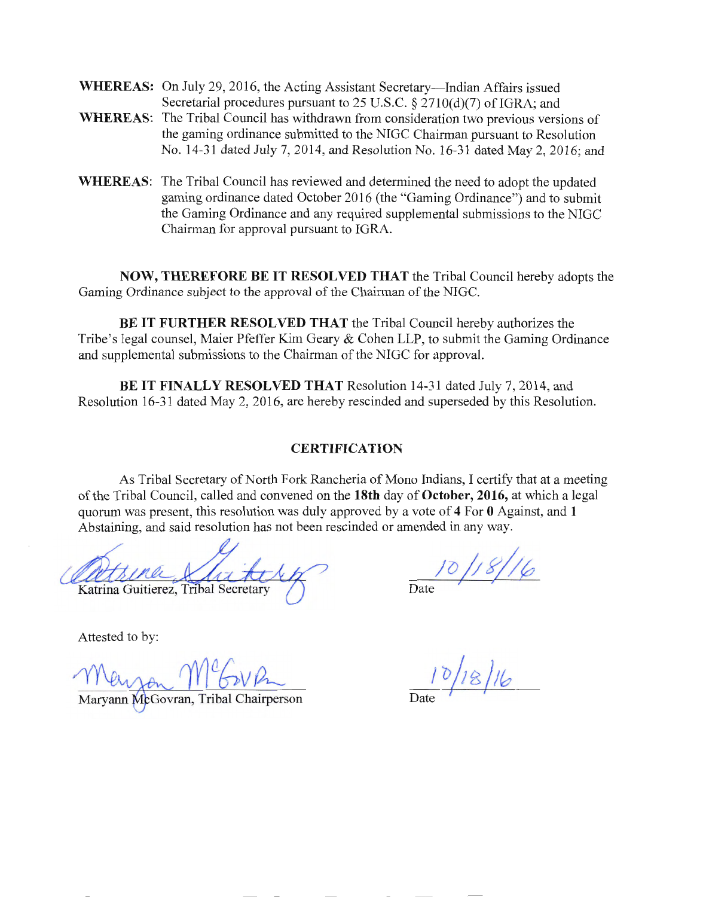WHEREAS: On July 29, 2016, the Acting Assistant Secretary—Indian Affairs issued Secretarial procedures pursuant to 25 U.S.C.  $\S 2710(d)(7)$  of IGRA; and

- **WHEREAS:** The Tribal Council has withdrawn from consideration two previous versions of the gaming ordinance submitted to the NIGC Chairman pursuant to Resolution No. 14-31 dated July 7, 2014, and Resolution No. 16-31 dated May 2, 2016; and
- **WHEREAS:** The Tribal Council has reviewed and determined the need to adopt the updated gaming ordinance dated October 2016 (the "Gaming Ordinance") and to submit the Gaming Ordinance and any required supplemental submissions to the NIGC Chairman for approval pursuant to IGRA.

**NOW, THEREFORE BE IT RESOLVED THAT** the Tribal Council hereby adopts the Gaming Ordinance subject to the approval of the Chairman of the NIGC.

**BE IT FURTHER RESOLVED THAT** the Tribal Council hereby authorizes the Tribe's legal counsel, Maier Pfeffer Kim Geary & Cohen LLP, to submit the Gaming Ordinance and supplemental submissions to the Chairman of the NIGC for approval.

**BE IT FINALLY RESOLVED THAT** Resolution 14-31 dated July 7, 2014, and Resolution 16-31 dated May 2, 2016, are hereby rescinded and superseded by this Resolution.

#### **CERTIFICATION**

As Tribal Secretary of North Fork Rancheria of Mono Indians, I certify that at a meeting of the Tribal Council, called and convened on the **18th** day of **October, 2016,** at which a legal quorum was present, this resolution was duly approved by a vote of **4** For **0** Against, and **1**  Abstaining, and said resolution has not been rescinded or amended in any way.

Katrina Guitierez, Tribal Secretary

Attested to by:

 $10/18/$ 

Marvann McGovran, Tribal Chairperson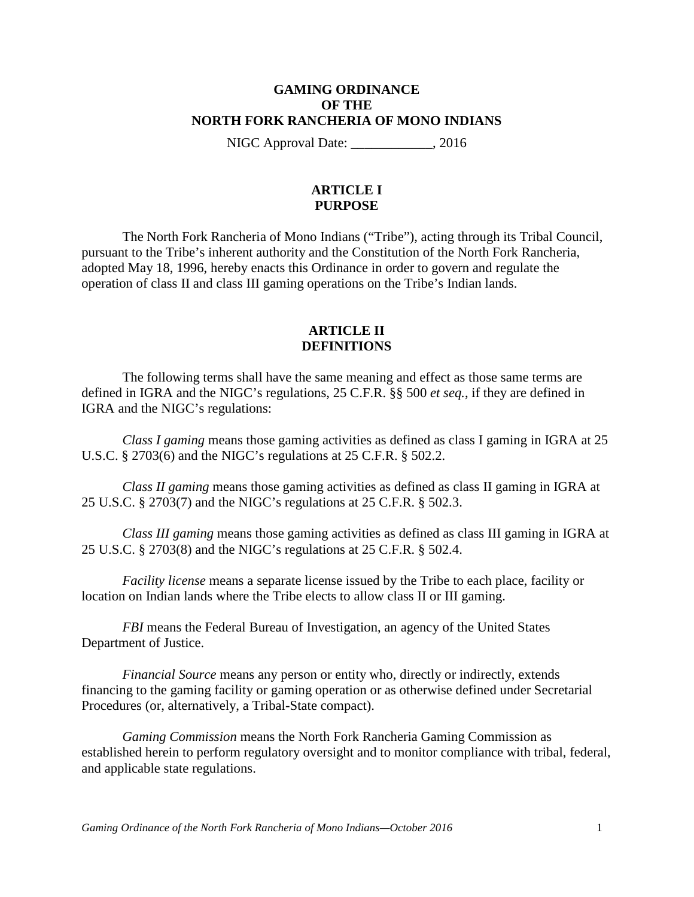#### **GAMING ORDINANCE OF THE NORTH FORK RANCHERIA OF MONO INDIANS**

NIGC Approval Date: \_\_\_\_\_\_\_\_\_\_\_\_, 2016

# **ARTICLE I PURPOSE**

The North Fork Rancheria of Mono Indians ("Tribe"), acting through its Tribal Council, pursuant to the Tribe's inherent authority and the Constitution of the North Fork Rancheria, adopted May 18, 1996, hereby enacts this Ordinance in order to govern and regulate the operation of class II and class III gaming operations on the Tribe's Indian lands.

# **ARTICLE II DEFINITIONS**

The following terms shall have the same meaning and effect as those same terms are defined in IGRA and the NIGC's regulations, 25 C.F.R. §§ 500 *et seq.*, if they are defined in IGRA and the NIGC's regulations:

*Class I gaming* means those gaming activities as defined as class I gaming in IGRA at 25 U.S.C. § 2703(6) and the NIGC's regulations at 25 C.F.R. § 502.2.

*Class II gaming* means those gaming activities as defined as class II gaming in IGRA at 25 U.S.C. § 2703(7) and the NIGC's regulations at 25 C.F.R. § 502.3.

*Class III gaming* means those gaming activities as defined as class III gaming in IGRA at 25 U.S.C. § 2703(8) and the NIGC's regulations at 25 C.F.R. § 502.4.

*Facility license* means a separate license issued by the Tribe to each place, facility or location on Indian lands where the Tribe elects to allow class II or III gaming.

*FBI* means the Federal Bureau of Investigation, an agency of the United States Department of Justice.

*Financial Source* means any person or entity who, directly or indirectly, extends financing to the gaming facility or gaming operation or as otherwise defined under Secretarial Procedures (or, alternatively, a Tribal-State compact).

*Gaming Commission* means the North Fork Rancheria Gaming Commission as established herein to perform regulatory oversight and to monitor compliance with tribal, federal, and applicable state regulations.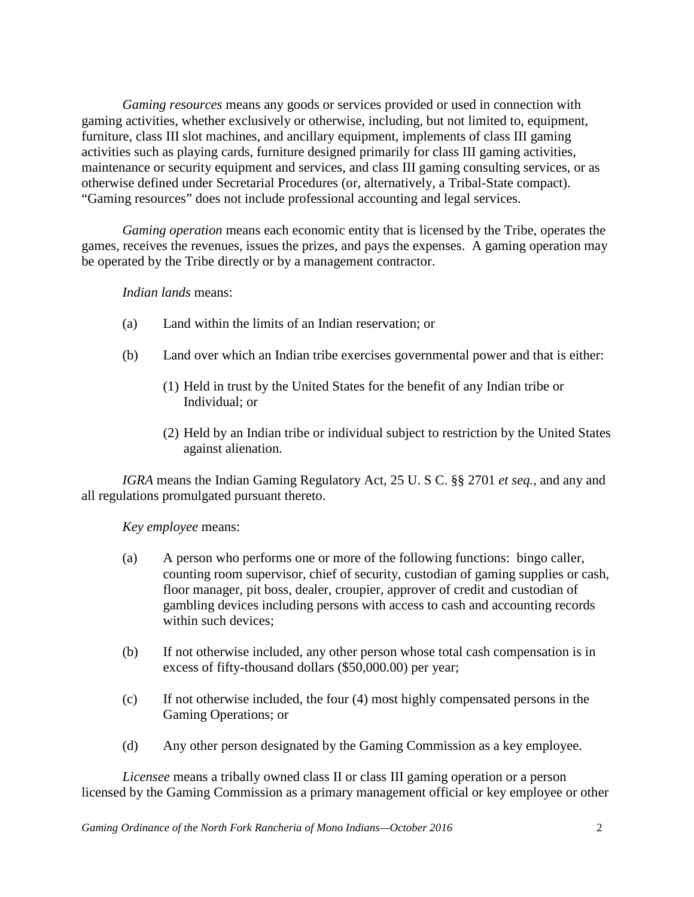*Gaming resources* means any goods or services provided or used in connection with gaming activities, whether exclusively or otherwise, including, but not limited to, equipment, furniture, class III slot machines, and ancillary equipment, implements of class III gaming activities such as playing cards, furniture designed primarily for class III gaming activities, maintenance or security equipment and services, and class III gaming consulting services, or as otherwise defined under Secretarial Procedures (or, alternatively, a Tribal-State compact). "Gaming resources" does not include professional accounting and legal services.

*Gaming operation* means each economic entity that is licensed by the Tribe, operates the games, receives the revenues, issues the prizes, and pays the expenses. A gaming operation may be operated by the Tribe directly or by a management contractor.

## *Indian lands* means:

- (a) Land within the limits of an Indian reservation; or
- (b) Land over which an Indian tribe exercises governmental power and that is either:
	- (1) Held in trust by the United States for the benefit of any Indian tribe or Individual; or
	- (2) Held by an Indian tribe or individual subject to restriction by the United States against alienation.

*IGRA* means the Indian Gaming Regulatory Act, 25 U. S C. §§ 2701 *et seq.*, and any and all regulations promulgated pursuant thereto.

*Key employee* means:

- (a) A person who performs one or more of the following functions: bingo caller, counting room supervisor, chief of security, custodian of gaming supplies or cash, floor manager, pit boss, dealer, croupier, approver of credit and custodian of gambling devices including persons with access to cash and accounting records within such devices;
- (b) If not otherwise included, any other person whose total cash compensation is in excess of fifty-thousand dollars (\$50,000.00) per year;
- (c) If not otherwise included, the four (4) most highly compensated persons in the Gaming Operations; or
- (d) Any other person designated by the Gaming Commission as a key employee.

*Licensee* means a tribally owned class II or class III gaming operation or a person licensed by the Gaming Commission as a primary management official or key employee or other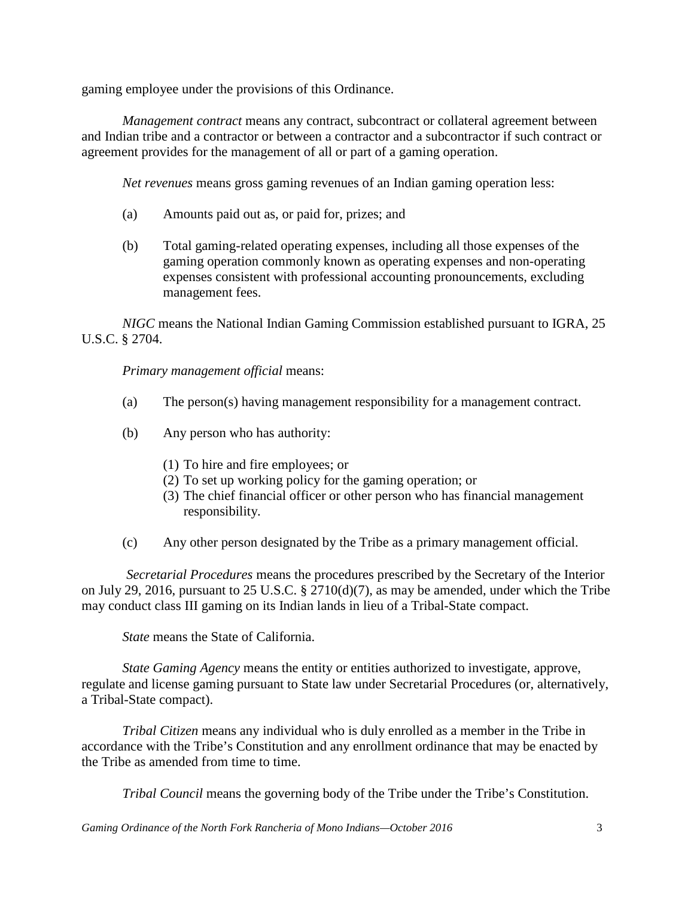gaming employee under the provisions of this Ordinance.

*Management contract* means any contract, subcontract or collateral agreement between and Indian tribe and a contractor or between a contractor and a subcontractor if such contract or agreement provides for the management of all or part of a gaming operation.

*Net revenues* means gross gaming revenues of an Indian gaming operation less:

- (a) Amounts paid out as, or paid for, prizes; and
- (b) Total gaming-related operating expenses, including all those expenses of the gaming operation commonly known as operating expenses and non-operating expenses consistent with professional accounting pronouncements, excluding management fees.

*NIGC* means the National Indian Gaming Commission established pursuant to IGRA, 25 U.S.C. § 2704.

*Primary management official* means:

- (a) The person(s) having management responsibility for a management contract.
- (b) Any person who has authority:
	- (1) To hire and fire employees; or
	- (2) To set up working policy for the gaming operation; or
	- (3) The chief financial officer or other person who has financial management responsibility.
- (c) Any other person designated by the Tribe as a primary management official.

*Secretarial Procedures* means the procedures prescribed by the Secretary of the Interior on July 29, 2016, pursuant to 25 U.S.C. § 2710(d)(7), as may be amended, under which the Tribe may conduct class III gaming on its Indian lands in lieu of a Tribal-State compact.

*State* means the State of California.

*State Gaming Agency* means the entity or entities authorized to investigate, approve, regulate and license gaming pursuant to State law under Secretarial Procedures (or, alternatively, a Tribal-State compact).

*Tribal Citizen* means any individual who is duly enrolled as a member in the Tribe in accordance with the Tribe's Constitution and any enrollment ordinance that may be enacted by the Tribe as amended from time to time.

*Tribal Council* means the governing body of the Tribe under the Tribe's Constitution.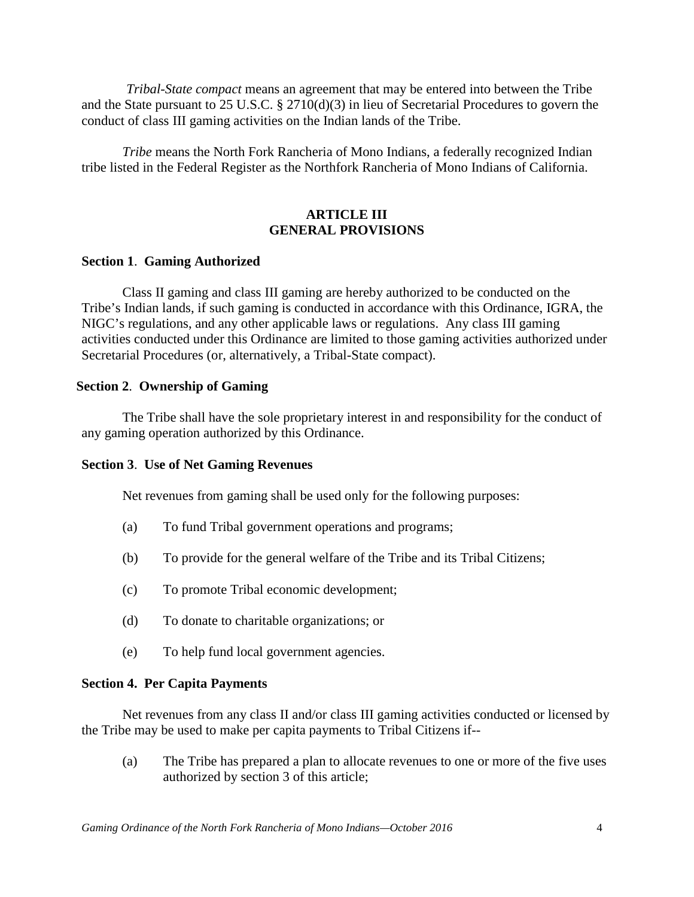*Tribal-State compact* means an agreement that may be entered into between the Tribe and the State pursuant to 25 U.S.C. § 2710(d)(3) in lieu of Secretarial Procedures to govern the conduct of class III gaming activities on the Indian lands of the Tribe.

*Tribe* means the North Fork Rancheria of Mono Indians, a federally recognized Indian tribe listed in the Federal Register as the Northfork Rancheria of Mono Indians of California.

# **ARTICLE III GENERAL PROVISIONS**

## **Section 1**. **Gaming Authorized**

Class II gaming and class III gaming are hereby authorized to be conducted on the Tribe's Indian lands, if such gaming is conducted in accordance with this Ordinance, IGRA, the NIGC's regulations, and any other applicable laws or regulations. Any class III gaming activities conducted under this Ordinance are limited to those gaming activities authorized under Secretarial Procedures (or, alternatively, a Tribal-State compact).

#### **Section 2**. **Ownership of Gaming**

The Tribe shall have the sole proprietary interest in and responsibility for the conduct of any gaming operation authorized by this Ordinance.

## **Section 3**. **Use of Net Gaming Revenues**

Net revenues from gaming shall be used only for the following purposes:

- (a) To fund Tribal government operations and programs;
- (b) To provide for the general welfare of the Tribe and its Tribal Citizens;
- (c) To promote Tribal economic development;
- (d) To donate to charitable organizations; or
- (e) To help fund local government agencies.

#### **Section 4. Per Capita Payments**

Net revenues from any class II and/or class III gaming activities conducted or licensed by the Tribe may be used to make per capita payments to Tribal Citizens if--

(a) The Tribe has prepared a plan to allocate revenues to one or more of the five uses authorized by section 3 of this article;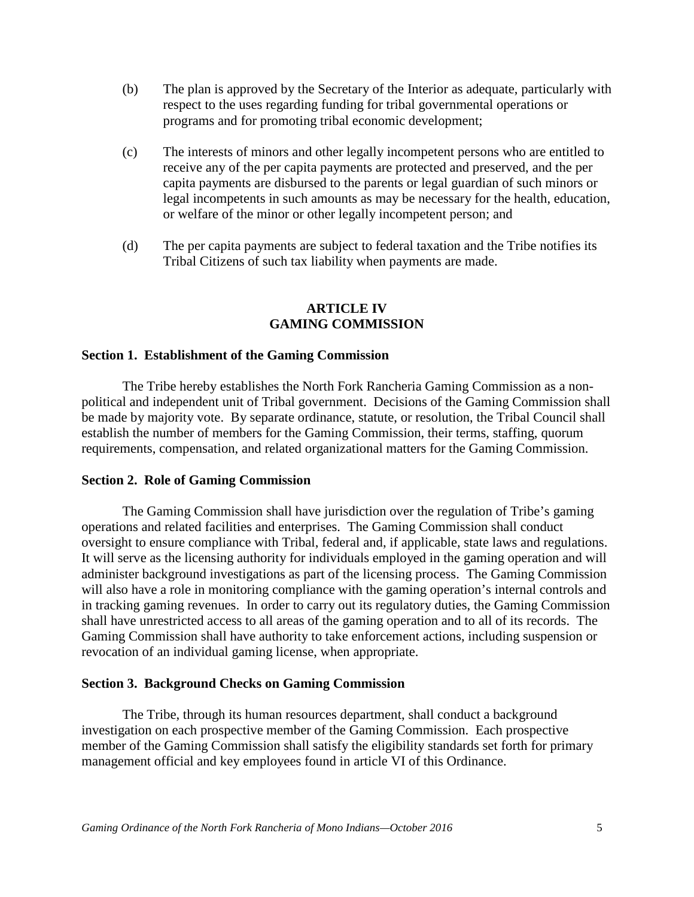- (b) The plan is approved by the Secretary of the Interior as adequate, particularly with respect to the uses regarding funding for tribal governmental operations or programs and for promoting tribal economic development;
- (c) The interests of minors and other legally incompetent persons who are entitled to receive any of the per capita payments are protected and preserved, and the per capita payments are disbursed to the parents or legal guardian of such minors or legal incompetents in such amounts as may be necessary for the health, education, or welfare of the minor or other legally incompetent person; and
- (d) The per capita payments are subject to federal taxation and the Tribe notifies its Tribal Citizens of such tax liability when payments are made.

# **ARTICLE IV GAMING COMMISSION**

#### **Section 1. Establishment of the Gaming Commission**

The Tribe hereby establishes the North Fork Rancheria Gaming Commission as a nonpolitical and independent unit of Tribal government. Decisions of the Gaming Commission shall be made by majority vote. By separate ordinance, statute, or resolution, the Tribal Council shall establish the number of members for the Gaming Commission, their terms, staffing, quorum requirements, compensation, and related organizational matters for the Gaming Commission.

#### **Section 2. Role of Gaming Commission**

The Gaming Commission shall have jurisdiction over the regulation of Tribe's gaming operations and related facilities and enterprises. The Gaming Commission shall conduct oversight to ensure compliance with Tribal, federal and, if applicable, state laws and regulations. It will serve as the licensing authority for individuals employed in the gaming operation and will administer background investigations as part of the licensing process. The Gaming Commission will also have a role in monitoring compliance with the gaming operation's internal controls and in tracking gaming revenues. In order to carry out its regulatory duties, the Gaming Commission shall have unrestricted access to all areas of the gaming operation and to all of its records. The Gaming Commission shall have authority to take enforcement actions, including suspension or revocation of an individual gaming license, when appropriate.

#### **Section 3. Background Checks on Gaming Commission**

The Tribe, through its human resources department, shall conduct a background investigation on each prospective member of the Gaming Commission. Each prospective member of the Gaming Commission shall satisfy the eligibility standards set forth for primary management official and key employees found in article VI of this Ordinance.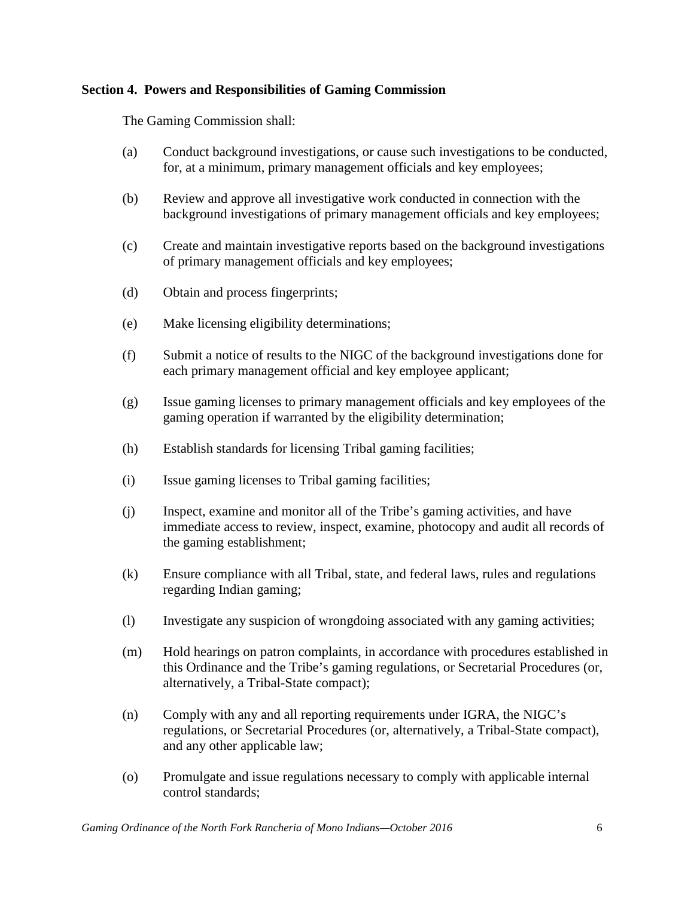# **Section 4. Powers and Responsibilities of Gaming Commission**

The Gaming Commission shall:

- (a) Conduct background investigations, or cause such investigations to be conducted, for, at a minimum, primary management officials and key employees;
- (b) Review and approve all investigative work conducted in connection with the background investigations of primary management officials and key employees;
- (c) Create and maintain investigative reports based on the background investigations of primary management officials and key employees;
- (d) Obtain and process fingerprints;
- (e) Make licensing eligibility determinations;
- (f) Submit a notice of results to the NIGC of the background investigations done for each primary management official and key employee applicant;
- (g) Issue gaming licenses to primary management officials and key employees of the gaming operation if warranted by the eligibility determination;
- (h) Establish standards for licensing Tribal gaming facilities;
- (i) Issue gaming licenses to Tribal gaming facilities;
- (j) Inspect, examine and monitor all of the Tribe's gaming activities, and have immediate access to review, inspect, examine, photocopy and audit all records of the gaming establishment;
- (k) Ensure compliance with all Tribal, state, and federal laws, rules and regulations regarding Indian gaming;
- (l) Investigate any suspicion of wrongdoing associated with any gaming activities;
- (m) Hold hearings on patron complaints, in accordance with procedures established in this Ordinance and the Tribe's gaming regulations, or Secretarial Procedures (or, alternatively, a Tribal-State compact);
- (n) Comply with any and all reporting requirements under IGRA, the NIGC's regulations, or Secretarial Procedures (or, alternatively, a Tribal-State compact), and any other applicable law;
- (o) Promulgate and issue regulations necessary to comply with applicable internal control standards;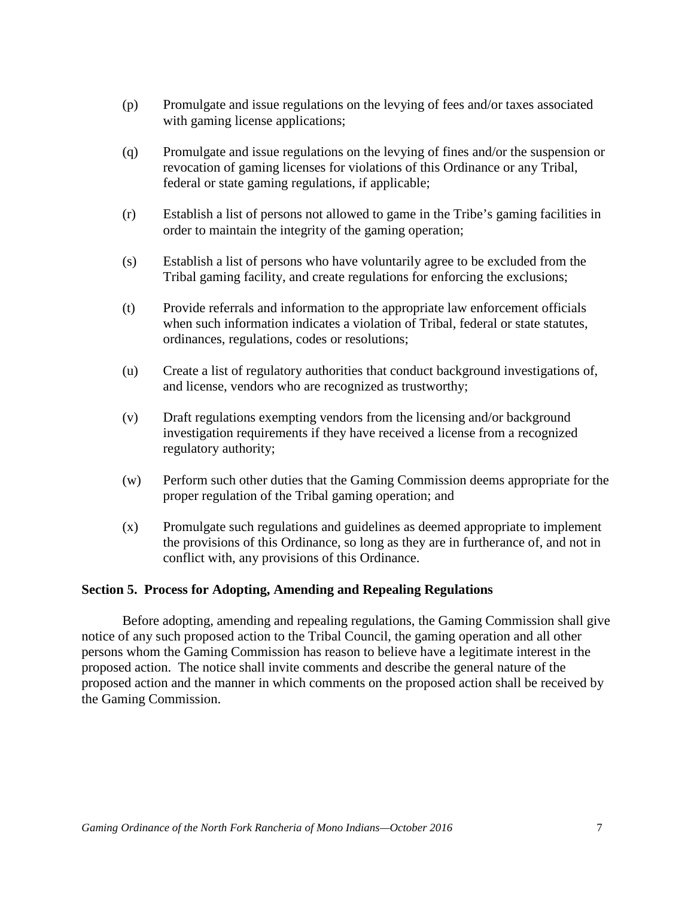- (p) Promulgate and issue regulations on the levying of fees and/or taxes associated with gaming license applications;
- (q) Promulgate and issue regulations on the levying of fines and/or the suspension or revocation of gaming licenses for violations of this Ordinance or any Tribal, federal or state gaming regulations, if applicable;
- (r) Establish a list of persons not allowed to game in the Tribe's gaming facilities in order to maintain the integrity of the gaming operation;
- (s) Establish a list of persons who have voluntarily agree to be excluded from the Tribal gaming facility, and create regulations for enforcing the exclusions;
- (t) Provide referrals and information to the appropriate law enforcement officials when such information indicates a violation of Tribal, federal or state statutes, ordinances, regulations, codes or resolutions;
- (u) Create a list of regulatory authorities that conduct background investigations of, and license, vendors who are recognized as trustworthy;
- (v) Draft regulations exempting vendors from the licensing and/or background investigation requirements if they have received a license from a recognized regulatory authority;
- (w) Perform such other duties that the Gaming Commission deems appropriate for the proper regulation of the Tribal gaming operation; and
- (x) Promulgate such regulations and guidelines as deemed appropriate to implement the provisions of this Ordinance, so long as they are in furtherance of, and not in conflict with, any provisions of this Ordinance.

## **Section 5. Process for Adopting, Amending and Repealing Regulations**

Before adopting, amending and repealing regulations, the Gaming Commission shall give notice of any such proposed action to the Tribal Council, the gaming operation and all other persons whom the Gaming Commission has reason to believe have a legitimate interest in the proposed action. The notice shall invite comments and describe the general nature of the proposed action and the manner in which comments on the proposed action shall be received by the Gaming Commission.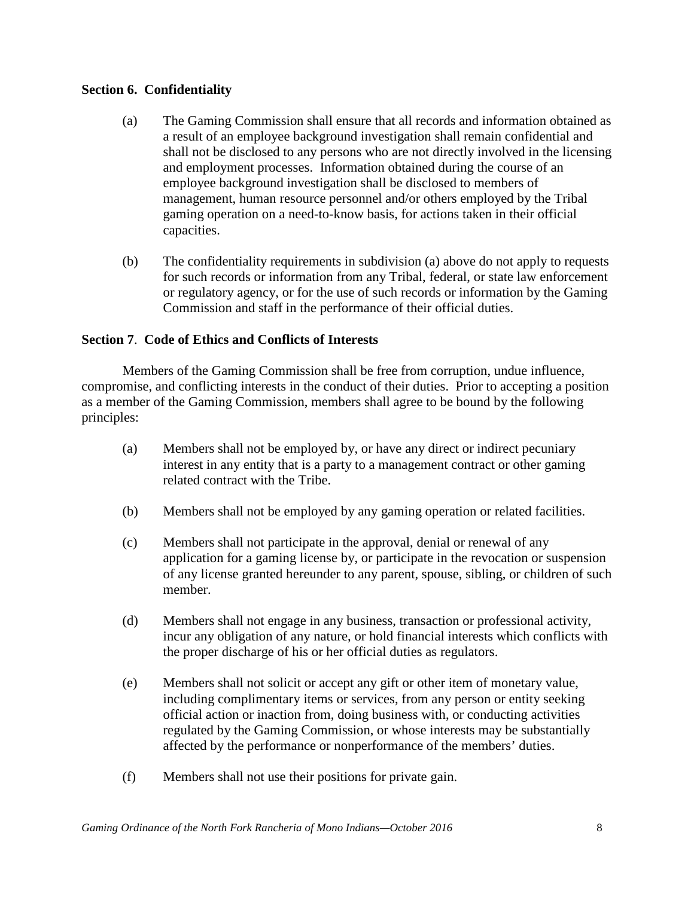# **Section 6. Confidentiality**

- (a) The Gaming Commission shall ensure that all records and information obtained as a result of an employee background investigation shall remain confidential and shall not be disclosed to any persons who are not directly involved in the licensing and employment processes. Information obtained during the course of an employee background investigation shall be disclosed to members of management, human resource personnel and/or others employed by the Tribal gaming operation on a need-to-know basis, for actions taken in their official capacities.
- (b) The confidentiality requirements in subdivision (a) above do not apply to requests for such records or information from any Tribal, federal, or state law enforcement or regulatory agency, or for the use of such records or information by the Gaming Commission and staff in the performance of their official duties.

# **Section 7**. **Code of Ethics and Conflicts of Interests**

Members of the Gaming Commission shall be free from corruption, undue influence, compromise, and conflicting interests in the conduct of their duties. Prior to accepting a position as a member of the Gaming Commission, members shall agree to be bound by the following principles:

- (a) Members shall not be employed by, or have any direct or indirect pecuniary interest in any entity that is a party to a management contract or other gaming related contract with the Tribe.
- (b) Members shall not be employed by any gaming operation or related facilities.
- (c) Members shall not participate in the approval, denial or renewal of any application for a gaming license by, or participate in the revocation or suspension of any license granted hereunder to any parent, spouse, sibling, or children of such member.
- (d) Members shall not engage in any business, transaction or professional activity, incur any obligation of any nature, or hold financial interests which conflicts with the proper discharge of his or her official duties as regulators.
- (e) Members shall not solicit or accept any gift or other item of monetary value, including complimentary items or services, from any person or entity seeking official action or inaction from, doing business with, or conducting activities regulated by the Gaming Commission, or whose interests may be substantially affected by the performance or nonperformance of the members' duties.
- (f) Members shall not use their positions for private gain.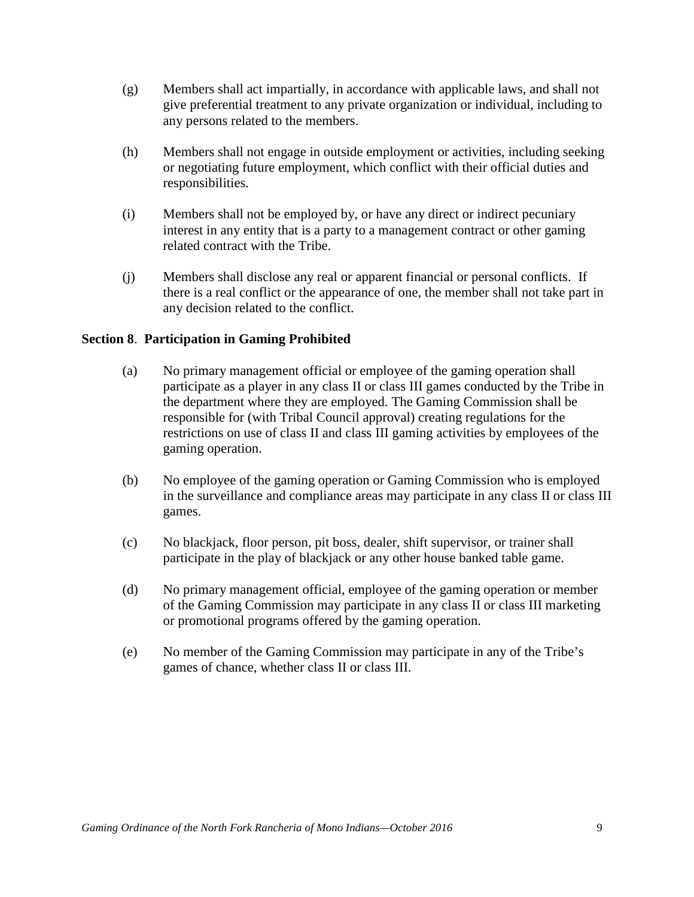- (g) Members shall act impartially, in accordance with applicable laws, and shall not give preferential treatment to any private organization or individual, including to any persons related to the members.
- (h) Members shall not engage in outside employment or activities, including seeking or negotiating future employment, which conflict with their official duties and responsibilities.
- (i) Members shall not be employed by, or have any direct or indirect pecuniary interest in any entity that is a party to a management contract or other gaming related contract with the Tribe.
- (j) Members shall disclose any real or apparent financial or personal conflicts. If there is a real conflict or the appearance of one, the member shall not take part in any decision related to the conflict.

# **Section 8**. **Participation in Gaming Prohibited**

- (a) No primary management official or employee of the gaming operation shall participate as a player in any class II or class III games conducted by the Tribe in the department where they are employed. The Gaming Commission shall be responsible for (with Tribal Council approval) creating regulations for the restrictions on use of class II and class III gaming activities by employees of the gaming operation.
- (b) No employee of the gaming operation or Gaming Commission who is employed in the surveillance and compliance areas may participate in any class II or class III games.
- (c) No blackjack, floor person, pit boss, dealer, shift supervisor, or trainer shall participate in the play of blackjack or any other house banked table game.
- (d) No primary management official, employee of the gaming operation or member of the Gaming Commission may participate in any class II or class III marketing or promotional programs offered by the gaming operation.
- (e) No member of the Gaming Commission may participate in any of the Tribe's games of chance, whether class II or class III.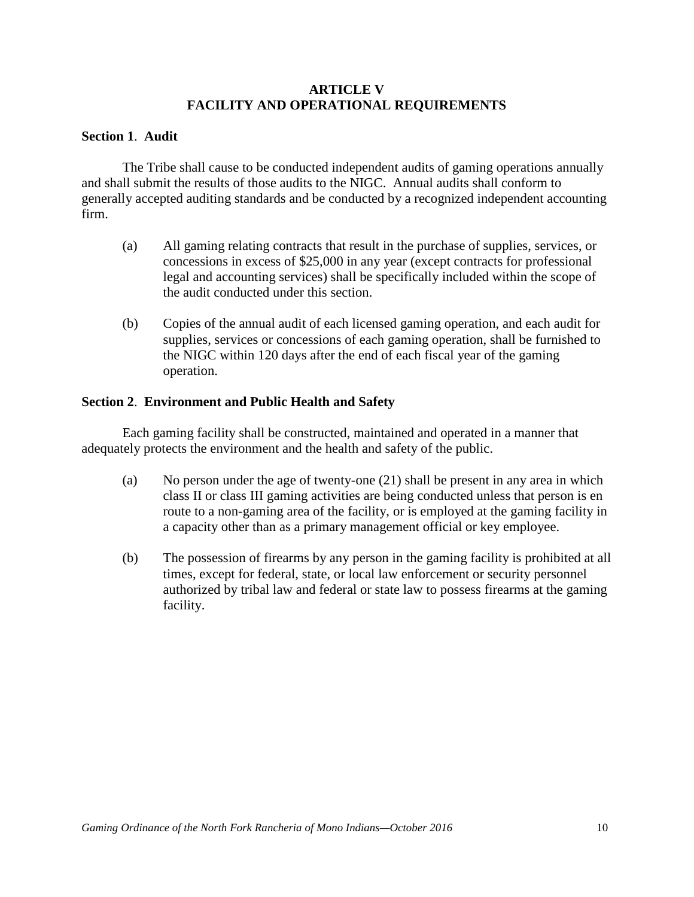## **ARTICLE V FACILITY AND OPERATIONAL REQUIREMENTS**

## **Section 1**. **Audit**

The Tribe shall cause to be conducted independent audits of gaming operations annually and shall submit the results of those audits to the NIGC. Annual audits shall conform to generally accepted auditing standards and be conducted by a recognized independent accounting firm.

- (a) All gaming relating contracts that result in the purchase of supplies, services, or concessions in excess of \$25,000 in any year (except contracts for professional legal and accounting services) shall be specifically included within the scope of the audit conducted under this section.
- (b) Copies of the annual audit of each licensed gaming operation, and each audit for supplies, services or concessions of each gaming operation, shall be furnished to the NIGC within 120 days after the end of each fiscal year of the gaming operation.

## **Section 2**. **Environment and Public Health and Safety**

Each gaming facility shall be constructed, maintained and operated in a manner that adequately protects the environment and the health and safety of the public.

- (a) No person under the age of twenty-one (21) shall be present in any area in which class II or class III gaming activities are being conducted unless that person is en route to a non-gaming area of the facility, or is employed at the gaming facility in a capacity other than as a primary management official or key employee.
- (b) The possession of firearms by any person in the gaming facility is prohibited at all times, except for federal, state, or local law enforcement or security personnel authorized by tribal law and federal or state law to possess firearms at the gaming facility.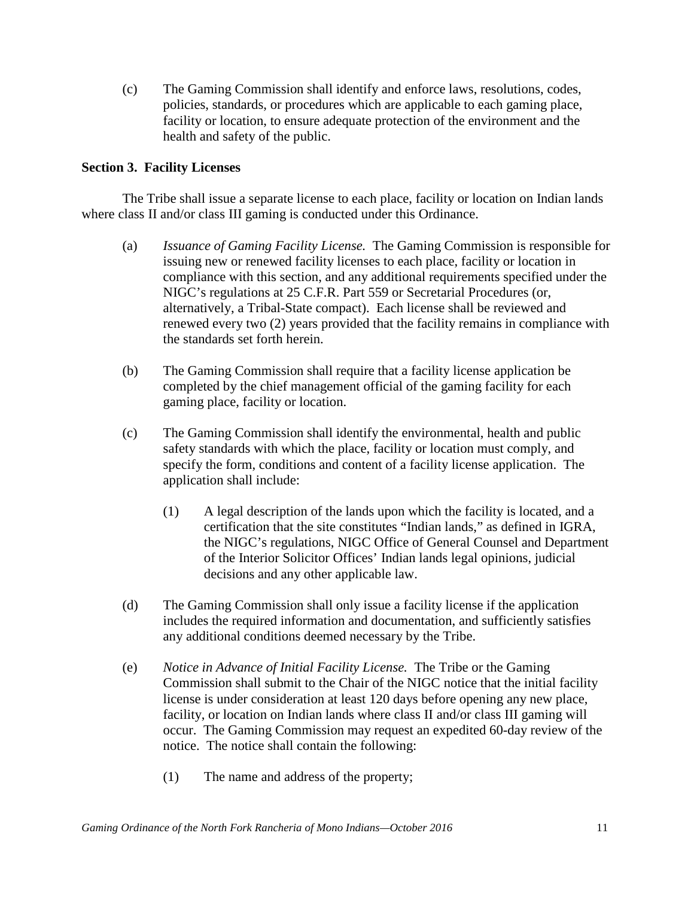(c) The Gaming Commission shall identify and enforce laws, resolutions, codes, policies, standards, or procedures which are applicable to each gaming place, facility or location, to ensure adequate protection of the environment and the health and safety of the public.

## **Section 3. Facility Licenses**

The Tribe shall issue a separate license to each place, facility or location on Indian lands where class II and/or class III gaming is conducted under this Ordinance.

- (a) *Issuance of Gaming Facility License.* The Gaming Commission is responsible for issuing new or renewed facility licenses to each place, facility or location in compliance with this section, and any additional requirements specified under the NIGC's regulations at 25 C.F.R. Part 559 or Secretarial Procedures (or, alternatively, a Tribal-State compact). Each license shall be reviewed and renewed every two (2) years provided that the facility remains in compliance with the standards set forth herein.
- (b) The Gaming Commission shall require that a facility license application be completed by the chief management official of the gaming facility for each gaming place, facility or location.
- (c) The Gaming Commission shall identify the environmental, health and public safety standards with which the place, facility or location must comply, and specify the form, conditions and content of a facility license application. The application shall include:
	- (1) A legal description of the lands upon which the facility is located, and a certification that the site constitutes "Indian lands," as defined in IGRA, the NIGC's regulations, NIGC Office of General Counsel and Department of the Interior Solicitor Offices' Indian lands legal opinions, judicial decisions and any other applicable law.
- (d) The Gaming Commission shall only issue a facility license if the application includes the required information and documentation, and sufficiently satisfies any additional conditions deemed necessary by the Tribe.
- (e) *Notice in Advance of Initial Facility License.* The Tribe or the Gaming Commission shall submit to the Chair of the NIGC notice that the initial facility license is under consideration at least 120 days before opening any new place, facility, or location on Indian lands where class II and/or class III gaming will occur. The Gaming Commission may request an expedited 60-day review of the notice. The notice shall contain the following:
	- (1) The name and address of the property;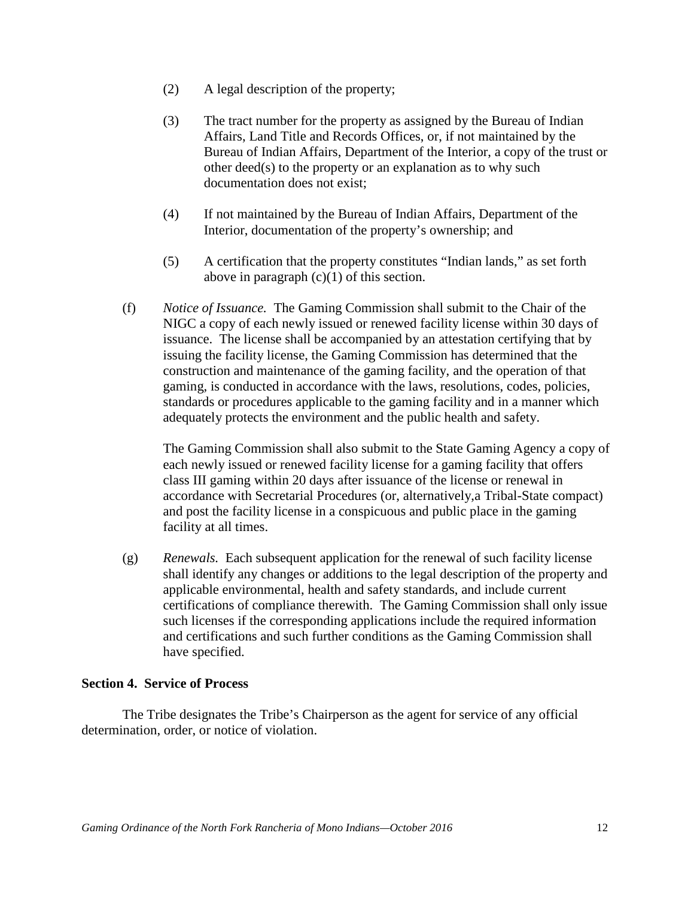- (2) A legal description of the property;
- (3) The tract number for the property as assigned by the Bureau of Indian Affairs, Land Title and Records Offices, or, if not maintained by the Bureau of Indian Affairs, Department of the Interior, a copy of the trust or other deed(s) to the property or an explanation as to why such documentation does not exist;
- (4) If not maintained by the Bureau of Indian Affairs, Department of the Interior, documentation of the property's ownership; and
- (5) A certification that the property constitutes "Indian lands," as set forth above in paragraph  $(c)(1)$  of this section.
- (f) *Notice of Issuance.* The Gaming Commission shall submit to the Chair of the NIGC a copy of each newly issued or renewed facility license within 30 days of issuance. The license shall be accompanied by an attestation certifying that by issuing the facility license, the Gaming Commission has determined that the construction and maintenance of the gaming facility, and the operation of that gaming, is conducted in accordance with the laws, resolutions, codes, policies, standards or procedures applicable to the gaming facility and in a manner which adequately protects the environment and the public health and safety.

The Gaming Commission shall also submit to the State Gaming Agency a copy of each newly issued or renewed facility license for a gaming facility that offers class III gaming within 20 days after issuance of the license or renewal in accordance with Secretarial Procedures (or, alternatively,a Tribal-State compact) and post the facility license in a conspicuous and public place in the gaming facility at all times.

(g) *Renewals.* Each subsequent application for the renewal of such facility license shall identify any changes or additions to the legal description of the property and applicable environmental, health and safety standards, and include current certifications of compliance therewith. The Gaming Commission shall only issue such licenses if the corresponding applications include the required information and certifications and such further conditions as the Gaming Commission shall have specified.

## **Section 4. Service of Process**

The Tribe designates the Tribe's Chairperson as the agent for service of any official determination, order, or notice of violation.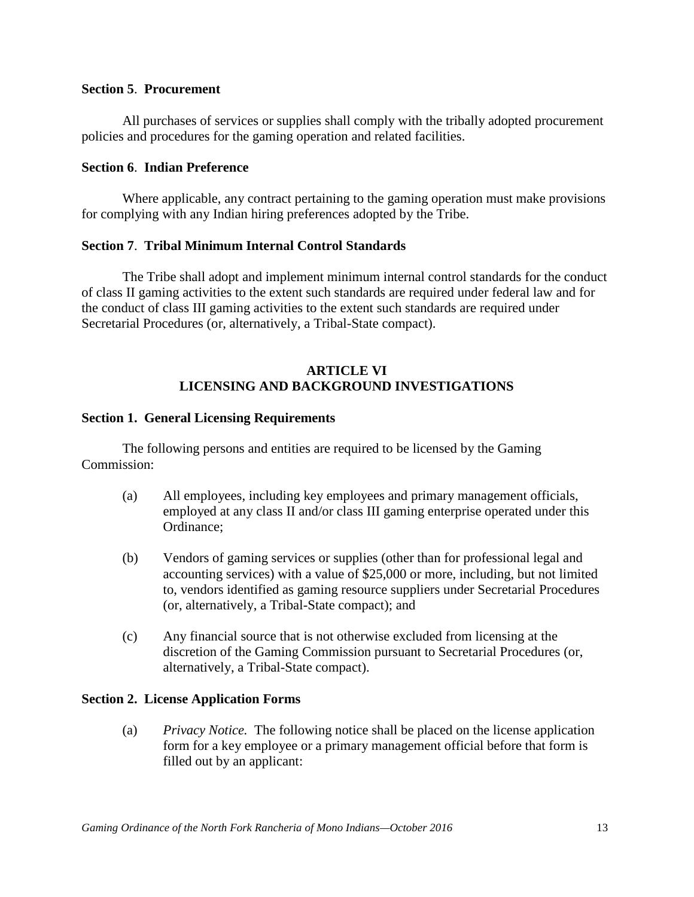#### **Section 5**. **Procurement**

All purchases of services or supplies shall comply with the tribally adopted procurement policies and procedures for the gaming operation and related facilities.

## **Section 6**. **Indian Preference**

Where applicable, any contract pertaining to the gaming operation must make provisions for complying with any Indian hiring preferences adopted by the Tribe.

## **Section 7**. **Tribal Minimum Internal Control Standards**

The Tribe shall adopt and implement minimum internal control standards for the conduct of class II gaming activities to the extent such standards are required under federal law and for the conduct of class III gaming activities to the extent such standards are required under Secretarial Procedures (or, alternatively, a Tribal-State compact).

# **ARTICLE VI LICENSING AND BACKGROUND INVESTIGATIONS**

#### **Section 1. General Licensing Requirements**

The following persons and entities are required to be licensed by the Gaming Commission:

- (a) All employees, including key employees and primary management officials, employed at any class II and/or class III gaming enterprise operated under this Ordinance;
- (b) Vendors of gaming services or supplies (other than for professional legal and accounting services) with a value of \$25,000 or more, including, but not limited to, vendors identified as gaming resource suppliers under Secretarial Procedures (or, alternatively, a Tribal-State compact); and
- (c) Any financial source that is not otherwise excluded from licensing at the discretion of the Gaming Commission pursuant to Secretarial Procedures (or, alternatively, a Tribal-State compact).

## **Section 2. License Application Forms**

(a) *Privacy Notice.* The following notice shall be placed on the license application form for a key employee or a primary management official before that form is filled out by an applicant: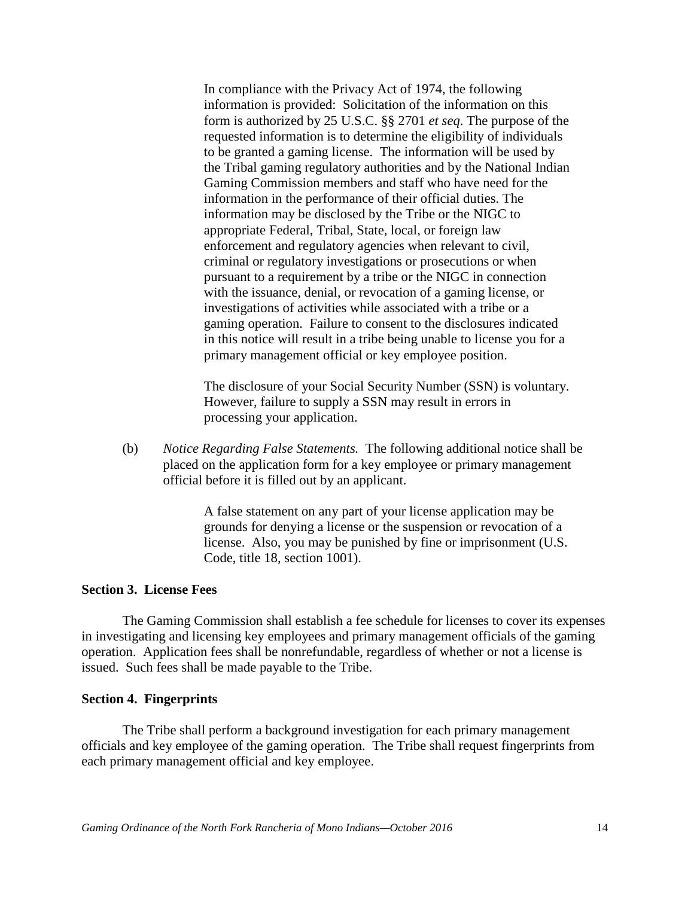In compliance with the Privacy Act of 1974, the following information is provided: Solicitation of the information on this form is authorized by 25 U.S.C. §§ 2701 *et seq*. The purpose of the requested information is to determine the eligibility of individuals to be granted a gaming license. The information will be used by the Tribal gaming regulatory authorities and by the National Indian Gaming Commission members and staff who have need for the information in the performance of their official duties. The information may be disclosed by the Tribe or the NIGC to appropriate Federal, Tribal, State, local, or foreign law enforcement and regulatory agencies when relevant to civil, criminal or regulatory investigations or prosecutions or when pursuant to a requirement by a tribe or the NIGC in connection with the issuance, denial, or revocation of a gaming license, or investigations of activities while associated with a tribe or a gaming operation. Failure to consent to the disclosures indicated in this notice will result in a tribe being unable to license you for a primary management official or key employee position.

The disclosure of your Social Security Number (SSN) is voluntary. However, failure to supply a SSN may result in errors in processing your application.

(b) *Notice Regarding False Statements.* The following additional notice shall be placed on the application form for a key employee or primary management official before it is filled out by an applicant.

> A false statement on any part of your license application may be grounds for denying a license or the suspension or revocation of a license. Also, you may be punished by fine or imprisonment (U.S. Code, title 18, section 1001).

#### **Section 3. License Fees**

The Gaming Commission shall establish a fee schedule for licenses to cover its expenses in investigating and licensing key employees and primary management officials of the gaming operation. Application fees shall be nonrefundable, regardless of whether or not a license is issued. Such fees shall be made payable to the Tribe.

#### **Section 4. Fingerprints**

The Tribe shall perform a background investigation for each primary management officials and key employee of the gaming operation. The Tribe shall request fingerprints from each primary management official and key employee.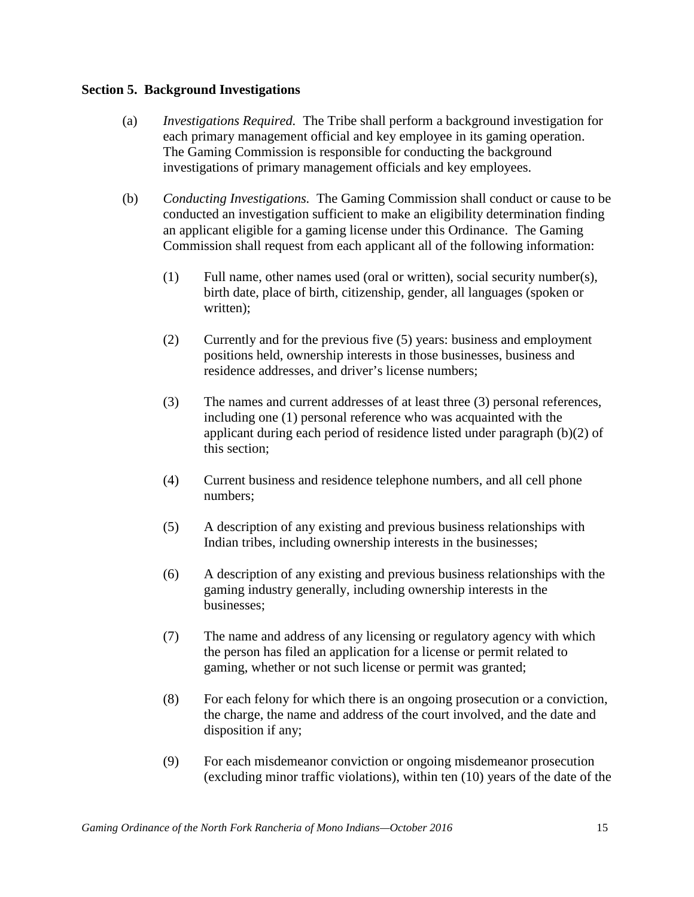#### **Section 5. Background Investigations**

- (a) *Investigations Required.* The Tribe shall perform a background investigation for each primary management official and key employee in its gaming operation. The Gaming Commission is responsible for conducting the background investigations of primary management officials and key employees.
- (b) *Conducting Investigations.* The Gaming Commission shall conduct or cause to be conducted an investigation sufficient to make an eligibility determination finding an applicant eligible for a gaming license under this Ordinance. The Gaming Commission shall request from each applicant all of the following information:
	- (1) Full name, other names used (oral or written), social security number(s), birth date, place of birth, citizenship, gender, all languages (spoken or written):
	- (2) Currently and for the previous five (5) years: business and employment positions held, ownership interests in those businesses, business and residence addresses, and driver's license numbers;
	- (3) The names and current addresses of at least three (3) personal references, including one (1) personal reference who was acquainted with the applicant during each period of residence listed under paragraph (b)(2) of this section;
	- (4) Current business and residence telephone numbers, and all cell phone numbers;
	- (5) A description of any existing and previous business relationships with Indian tribes, including ownership interests in the businesses;
	- (6) A description of any existing and previous business relationships with the gaming industry generally, including ownership interests in the businesses;
	- (7) The name and address of any licensing or regulatory agency with which the person has filed an application for a license or permit related to gaming, whether or not such license or permit was granted;
	- (8) For each felony for which there is an ongoing prosecution or a conviction, the charge, the name and address of the court involved, and the date and disposition if any;
	- (9) For each misdemeanor conviction or ongoing misdemeanor prosecution (excluding minor traffic violations), within ten (10) years of the date of the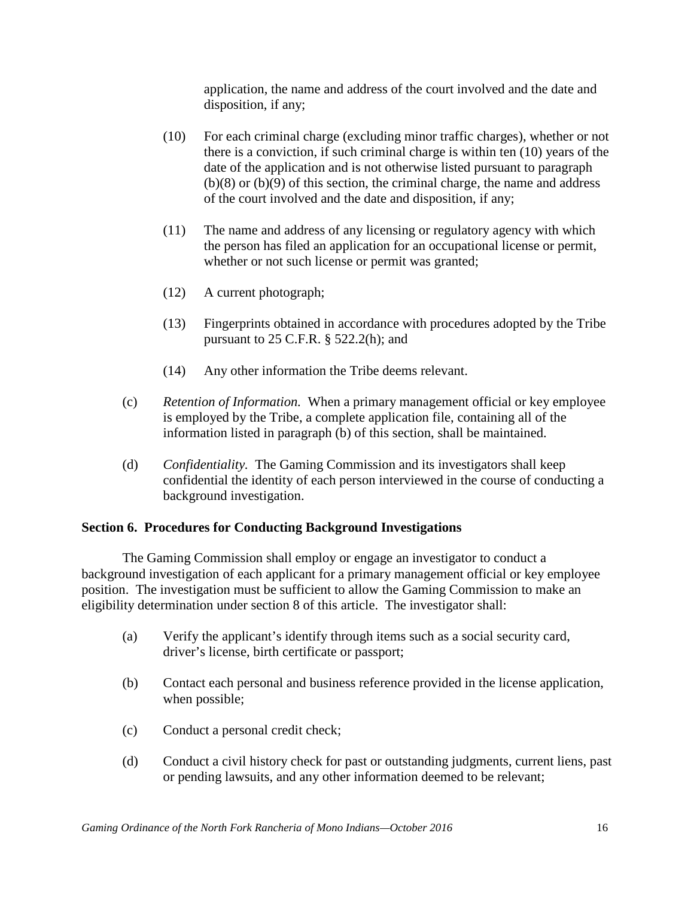application, the name and address of the court involved and the date and disposition, if any;

- (10) For each criminal charge (excluding minor traffic charges), whether or not there is a conviction, if such criminal charge is within ten (10) years of the date of the application and is not otherwise listed pursuant to paragraph (b)(8) or (b)(9) of this section, the criminal charge, the name and address of the court involved and the date and disposition, if any;
- (11) The name and address of any licensing or regulatory agency with which the person has filed an application for an occupational license or permit, whether or not such license or permit was granted;
- (12) A current photograph;
- (13) Fingerprints obtained in accordance with procedures adopted by the Tribe pursuant to  $25$  C.F.R.  $\S$  522.2(h); and
- (14) Any other information the Tribe deems relevant.
- (c) *Retention of Information.* When a primary management official or key employee is employed by the Tribe, a complete application file, containing all of the information listed in paragraph (b) of this section, shall be maintained.
- (d) *Confidentiality.* The Gaming Commission and its investigators shall keep confidential the identity of each person interviewed in the course of conducting a background investigation.

## **Section 6. Procedures for Conducting Background Investigations**

The Gaming Commission shall employ or engage an investigator to conduct a background investigation of each applicant for a primary management official or key employee position. The investigation must be sufficient to allow the Gaming Commission to make an eligibility determination under section 8 of this article. The investigator shall:

- (a) Verify the applicant's identify through items such as a social security card, driver's license, birth certificate or passport;
- (b) Contact each personal and business reference provided in the license application, when possible;
- (c) Conduct a personal credit check;
- (d) Conduct a civil history check for past or outstanding judgments, current liens, past or pending lawsuits, and any other information deemed to be relevant;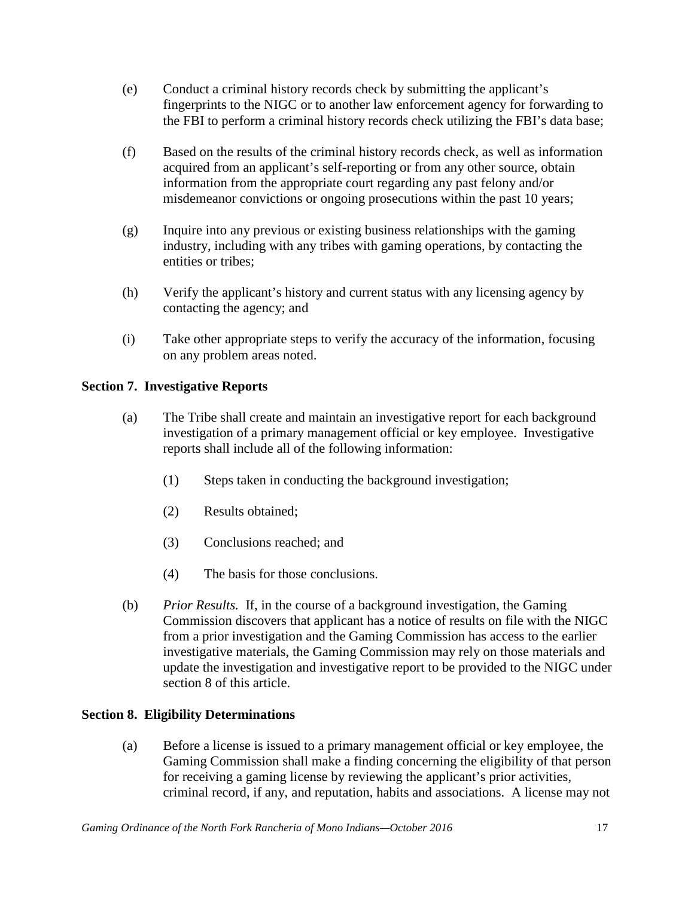- (e) Conduct a criminal history records check by submitting the applicant's fingerprints to the NIGC or to another law enforcement agency for forwarding to the FBI to perform a criminal history records check utilizing the FBI's data base;
- (f) Based on the results of the criminal history records check, as well as information acquired from an applicant's self-reporting or from any other source, obtain information from the appropriate court regarding any past felony and/or misdemeanor convictions or ongoing prosecutions within the past 10 years;
- (g) Inquire into any previous or existing business relationships with the gaming industry, including with any tribes with gaming operations, by contacting the entities or tribes;
- (h) Verify the applicant's history and current status with any licensing agency by contacting the agency; and
- (i) Take other appropriate steps to verify the accuracy of the information, focusing on any problem areas noted.

# **Section 7. Investigative Reports**

- (a) The Tribe shall create and maintain an investigative report for each background investigation of a primary management official or key employee. Investigative reports shall include all of the following information:
	- (1) Steps taken in conducting the background investigation;
	- (2) Results obtained;
	- (3) Conclusions reached; and
	- (4) The basis for those conclusions.
- (b) *Prior Results.* If, in the course of a background investigation, the Gaming Commission discovers that applicant has a notice of results on file with the NIGC from a prior investigation and the Gaming Commission has access to the earlier investigative materials, the Gaming Commission may rely on those materials and update the investigation and investigative report to be provided to the NIGC under section 8 of this article.

# **Section 8. Eligibility Determinations**

(a) Before a license is issued to a primary management official or key employee, the Gaming Commission shall make a finding concerning the eligibility of that person for receiving a gaming license by reviewing the applicant's prior activities, criminal record, if any, and reputation, habits and associations. A license may not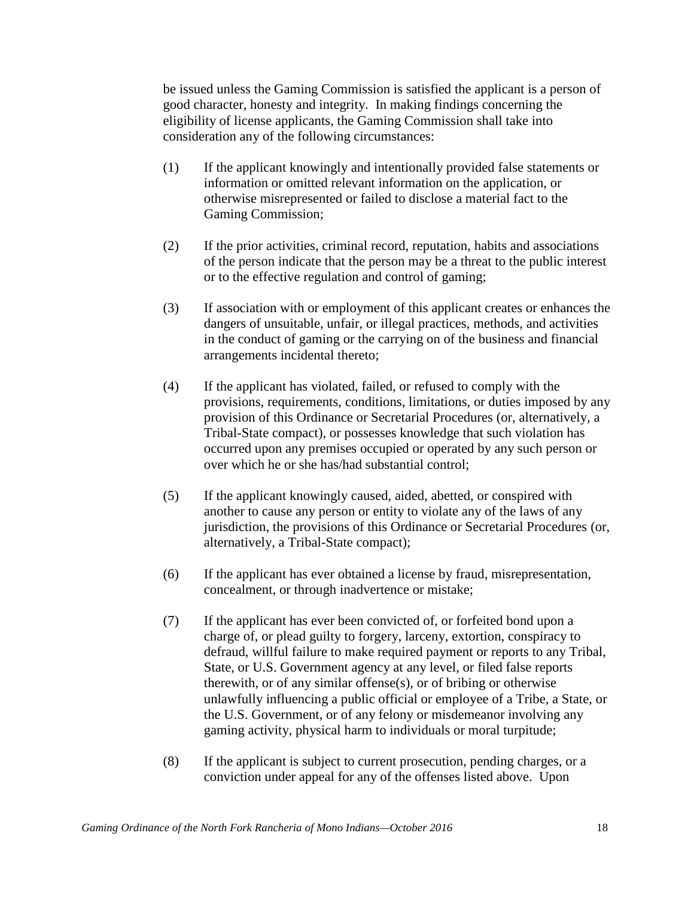be issued unless the Gaming Commission is satisfied the applicant is a person of good character, honesty and integrity. In making findings concerning the eligibility of license applicants, the Gaming Commission shall take into consideration any of the following circumstances:

- (1) If the applicant knowingly and intentionally provided false statements or information or omitted relevant information on the application, or otherwise misrepresented or failed to disclose a material fact to the Gaming Commission;
- (2) If the prior activities, criminal record, reputation, habits and associations of the person indicate that the person may be a threat to the public interest or to the effective regulation and control of gaming;
- (3) If association with or employment of this applicant creates or enhances the dangers of unsuitable, unfair, or illegal practices, methods, and activities in the conduct of gaming or the carrying on of the business and financial arrangements incidental thereto;
- (4) If the applicant has violated, failed, or refused to comply with the provisions, requirements, conditions, limitations, or duties imposed by any provision of this Ordinance or Secretarial Procedures (or, alternatively, a Tribal-State compact), or possesses knowledge that such violation has occurred upon any premises occupied or operated by any such person or over which he or she has/had substantial control;
- (5) If the applicant knowingly caused, aided, abetted, or conspired with another to cause any person or entity to violate any of the laws of any jurisdiction, the provisions of this Ordinance or Secretarial Procedures (or, alternatively, a Tribal-State compact);
- (6) If the applicant has ever obtained a license by fraud, misrepresentation, concealment, or through inadvertence or mistake;
- (7) If the applicant has ever been convicted of, or forfeited bond upon a charge of, or plead guilty to forgery, larceny, extortion, conspiracy to defraud, willful failure to make required payment or reports to any Tribal, State, or U.S. Government agency at any level, or filed false reports therewith, or of any similar offense(s), or of bribing or otherwise unlawfully influencing a public official or employee of a Tribe, a State, or the U.S. Government, or of any felony or misdemeanor involving any gaming activity, physical harm to individuals or moral turpitude;
- (8) If the applicant is subject to current prosecution, pending charges, or a conviction under appeal for any of the offenses listed above. Upon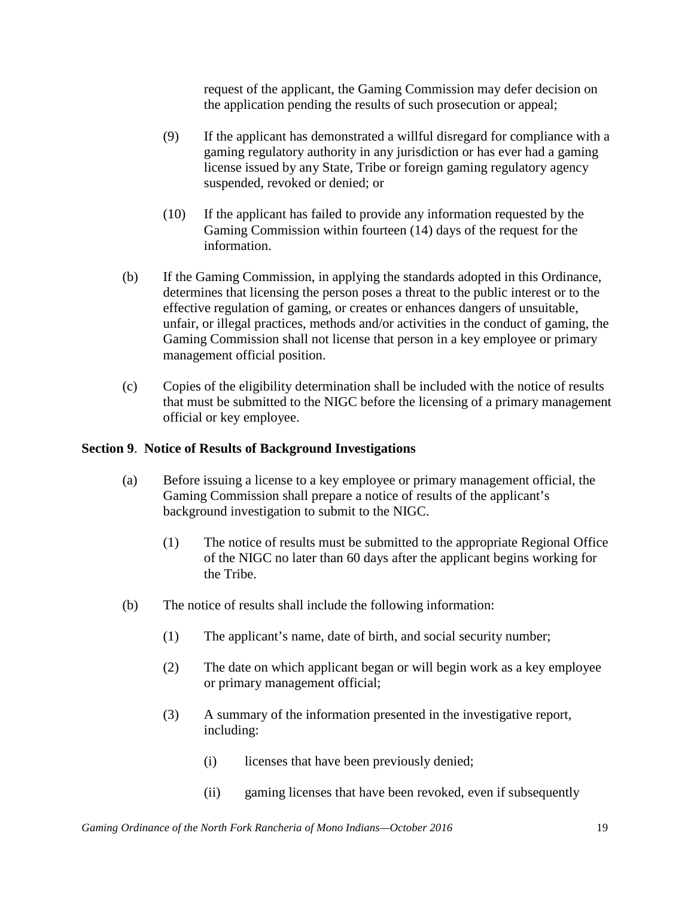request of the applicant, the Gaming Commission may defer decision on the application pending the results of such prosecution or appeal;

- (9) If the applicant has demonstrated a willful disregard for compliance with a gaming regulatory authority in any jurisdiction or has ever had a gaming license issued by any State, Tribe or foreign gaming regulatory agency suspended, revoked or denied; or
- (10) If the applicant has failed to provide any information requested by the Gaming Commission within fourteen (14) days of the request for the information.
- (b) If the Gaming Commission, in applying the standards adopted in this Ordinance, determines that licensing the person poses a threat to the public interest or to the effective regulation of gaming, or creates or enhances dangers of unsuitable, unfair, or illegal practices, methods and/or activities in the conduct of gaming, the Gaming Commission shall not license that person in a key employee or primary management official position.
- (c) Copies of the eligibility determination shall be included with the notice of results that must be submitted to the NIGC before the licensing of a primary management official or key employee.

# **Section 9**. **Notice of Results of Background Investigations**

- (a) Before issuing a license to a key employee or primary management official, the Gaming Commission shall prepare a notice of results of the applicant's background investigation to submit to the NIGC.
	- (1) The notice of results must be submitted to the appropriate Regional Office of the NIGC no later than 60 days after the applicant begins working for the Tribe.
- (b) The notice of results shall include the following information:
	- (1) The applicant's name, date of birth, and social security number;
	- (2) The date on which applicant began or will begin work as a key employee or primary management official;
	- (3) A summary of the information presented in the investigative report, including:
		- (i) licenses that have been previously denied;
		- (ii) gaming licenses that have been revoked, even if subsequently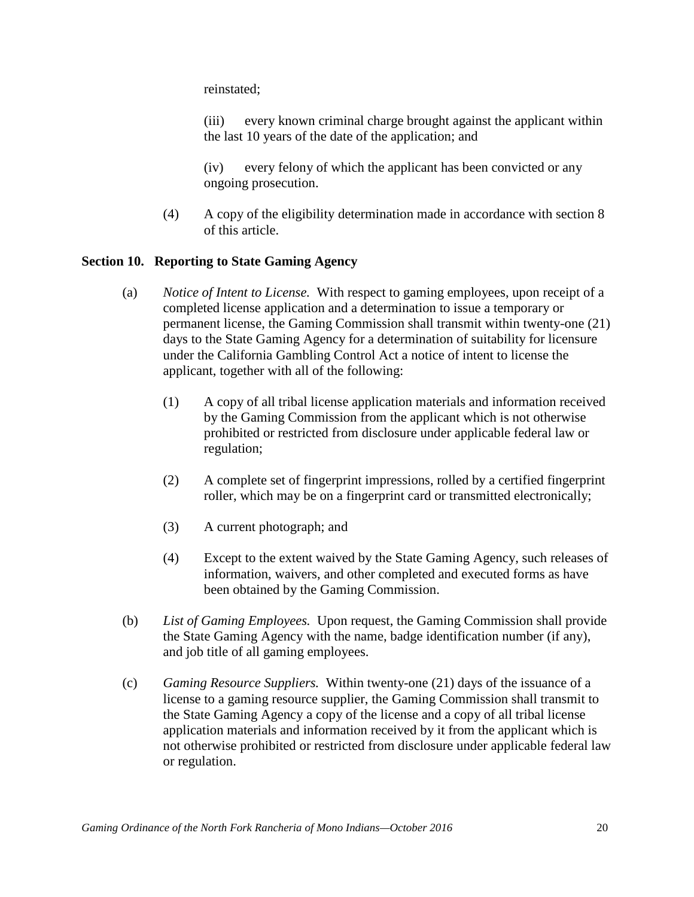reinstated;

(iii) every known criminal charge brought against the applicant within the last 10 years of the date of the application; and

(iv) every felony of which the applicant has been convicted or any ongoing prosecution.

(4) A copy of the eligibility determination made in accordance with section 8 of this article.

## **Section 10. Reporting to State Gaming Agency**

- (a) *Notice of Intent to License.* With respect to gaming employees, upon receipt of a completed license application and a determination to issue a temporary or permanent license, the Gaming Commission shall transmit within twenty-one (21) days to the State Gaming Agency for a determination of suitability for licensure under the California Gambling Control Act a notice of intent to license the applicant, together with all of the following:
	- (1) A copy of all tribal license application materials and information received by the Gaming Commission from the applicant which is not otherwise prohibited or restricted from disclosure under applicable federal law or regulation;
	- (2) A complete set of fingerprint impressions, rolled by a certified fingerprint roller, which may be on a fingerprint card or transmitted electronically;
	- (3) A current photograph; and
	- (4) Except to the extent waived by the State Gaming Agency, such releases of information, waivers, and other completed and executed forms as have been obtained by the Gaming Commission.
- (b) *List of Gaming Employees.* Upon request, the Gaming Commission shall provide the State Gaming Agency with the name, badge identification number (if any), and job title of all gaming employees.
- (c) *Gaming Resource Suppliers.* Within twenty-one (21) days of the issuance of a license to a gaming resource supplier, the Gaming Commission shall transmit to the State Gaming Agency a copy of the license and a copy of all tribal license application materials and information received by it from the applicant which is not otherwise prohibited or restricted from disclosure under applicable federal law or regulation.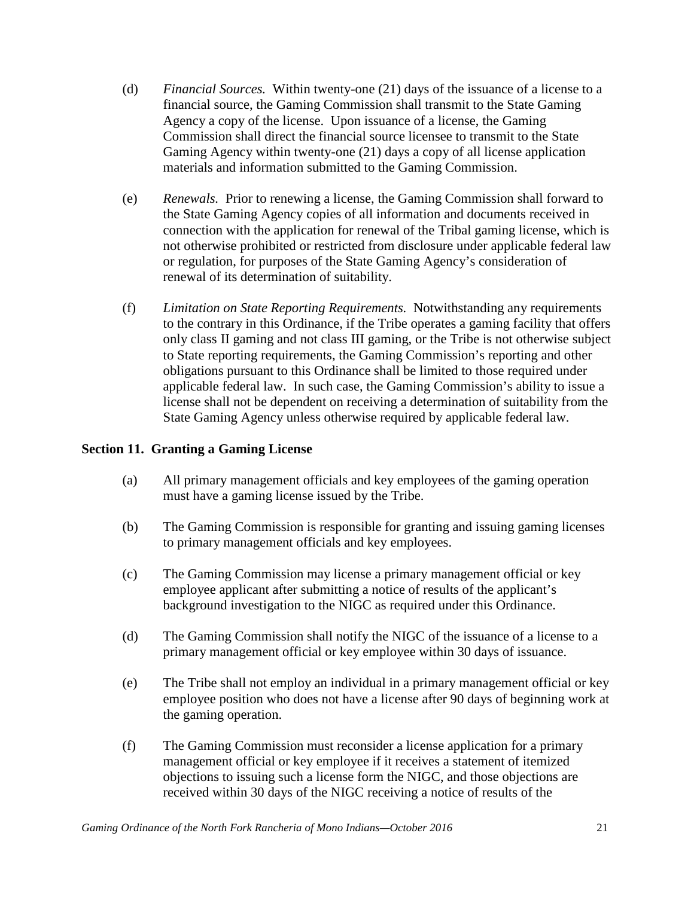- (d) *Financial Sources.* Within twenty-one (21) days of the issuance of a license to a financial source, the Gaming Commission shall transmit to the State Gaming Agency a copy of the license. Upon issuance of a license, the Gaming Commission shall direct the financial source licensee to transmit to the State Gaming Agency within twenty-one (21) days a copy of all license application materials and information submitted to the Gaming Commission.
- (e) *Renewals.* Prior to renewing a license, the Gaming Commission shall forward to the State Gaming Agency copies of all information and documents received in connection with the application for renewal of the Tribal gaming license, which is not otherwise prohibited or restricted from disclosure under applicable federal law or regulation, for purposes of the State Gaming Agency's consideration of renewal of its determination of suitability.
- (f) *Limitation on State Reporting Requirements.* Notwithstanding any requirements to the contrary in this Ordinance, if the Tribe operates a gaming facility that offers only class II gaming and not class III gaming, or the Tribe is not otherwise subject to State reporting requirements, the Gaming Commission's reporting and other obligations pursuant to this Ordinance shall be limited to those required under applicable federal law. In such case, the Gaming Commission's ability to issue a license shall not be dependent on receiving a determination of suitability from the State Gaming Agency unless otherwise required by applicable federal law.

# **Section 11. Granting a Gaming License**

- (a) All primary management officials and key employees of the gaming operation must have a gaming license issued by the Tribe.
- (b) The Gaming Commission is responsible for granting and issuing gaming licenses to primary management officials and key employees.
- (c) The Gaming Commission may license a primary management official or key employee applicant after submitting a notice of results of the applicant's background investigation to the NIGC as required under this Ordinance.
- (d) The Gaming Commission shall notify the NIGC of the issuance of a license to a primary management official or key employee within 30 days of issuance.
- (e) The Tribe shall not employ an individual in a primary management official or key employee position who does not have a license after 90 days of beginning work at the gaming operation.
- (f) The Gaming Commission must reconsider a license application for a primary management official or key employee if it receives a statement of itemized objections to issuing such a license form the NIGC, and those objections are received within 30 days of the NIGC receiving a notice of results of the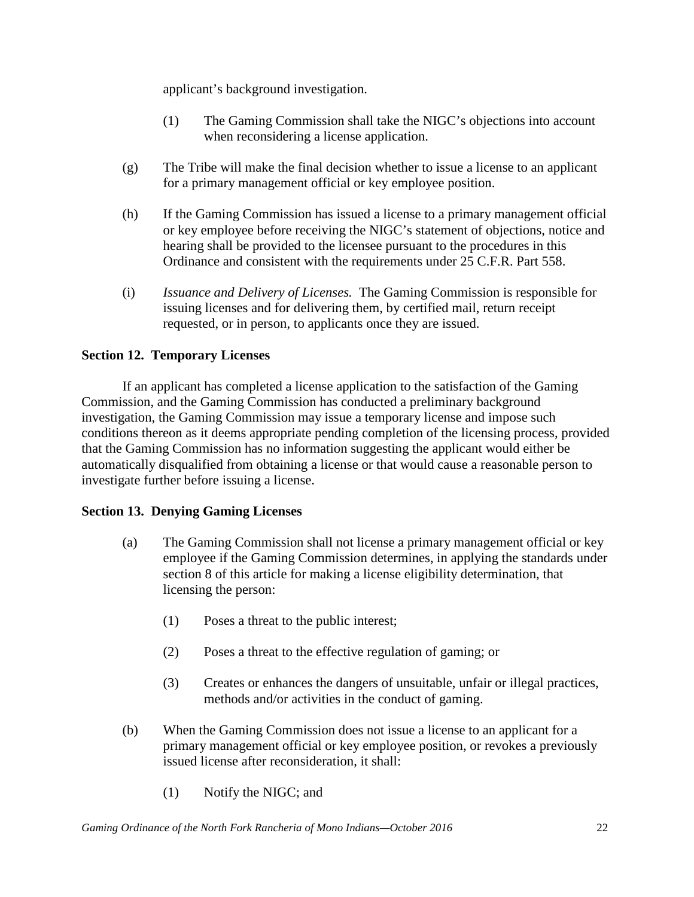applicant's background investigation.

- (1) The Gaming Commission shall take the NIGC's objections into account when reconsidering a license application.
- (g) The Tribe will make the final decision whether to issue a license to an applicant for a primary management official or key employee position.
- (h) If the Gaming Commission has issued a license to a primary management official or key employee before receiving the NIGC's statement of objections, notice and hearing shall be provided to the licensee pursuant to the procedures in this Ordinance and consistent with the requirements under 25 C.F.R. Part 558.
- (i) *Issuance and Delivery of Licenses.* The Gaming Commission is responsible for issuing licenses and for delivering them, by certified mail, return receipt requested, or in person, to applicants once they are issued.

# **Section 12. Temporary Licenses**

If an applicant has completed a license application to the satisfaction of the Gaming Commission, and the Gaming Commission has conducted a preliminary background investigation, the Gaming Commission may issue a temporary license and impose such conditions thereon as it deems appropriate pending completion of the licensing process, provided that the Gaming Commission has no information suggesting the applicant would either be automatically disqualified from obtaining a license or that would cause a reasonable person to investigate further before issuing a license.

# **Section 13. Denying Gaming Licenses**

- (a) The Gaming Commission shall not license a primary management official or key employee if the Gaming Commission determines, in applying the standards under section 8 of this article for making a license eligibility determination, that licensing the person:
	- (1) Poses a threat to the public interest;
	- (2) Poses a threat to the effective regulation of gaming; or
	- (3) Creates or enhances the dangers of unsuitable, unfair or illegal practices, methods and/or activities in the conduct of gaming.
- (b) When the Gaming Commission does not issue a license to an applicant for a primary management official or key employee position, or revokes a previously issued license after reconsideration, it shall:
	- (1) Notify the NIGC; and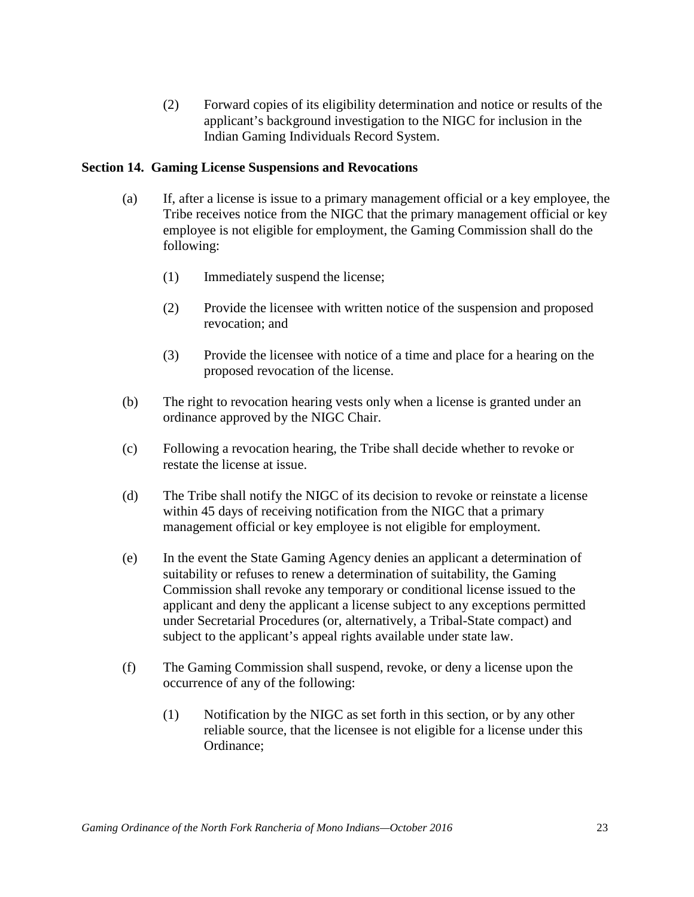(2) Forward copies of its eligibility determination and notice or results of the applicant's background investigation to the NIGC for inclusion in the Indian Gaming Individuals Record System.

# **Section 14. Gaming License Suspensions and Revocations**

- (a) If, after a license is issue to a primary management official or a key employee, the Tribe receives notice from the NIGC that the primary management official or key employee is not eligible for employment, the Gaming Commission shall do the following:
	- (1) Immediately suspend the license;
	- (2) Provide the licensee with written notice of the suspension and proposed revocation; and
	- (3) Provide the licensee with notice of a time and place for a hearing on the proposed revocation of the license.
- (b) The right to revocation hearing vests only when a license is granted under an ordinance approved by the NIGC Chair.
- (c) Following a revocation hearing, the Tribe shall decide whether to revoke or restate the license at issue.
- (d) The Tribe shall notify the NIGC of its decision to revoke or reinstate a license within 45 days of receiving notification from the NIGC that a primary management official or key employee is not eligible for employment.
- (e) In the event the State Gaming Agency denies an applicant a determination of suitability or refuses to renew a determination of suitability, the Gaming Commission shall revoke any temporary or conditional license issued to the applicant and deny the applicant a license subject to any exceptions permitted under Secretarial Procedures (or, alternatively, a Tribal-State compact) and subject to the applicant's appeal rights available under state law.
- (f) The Gaming Commission shall suspend, revoke, or deny a license upon the occurrence of any of the following:
	- (1) Notification by the NIGC as set forth in this section, or by any other reliable source, that the licensee is not eligible for a license under this Ordinance;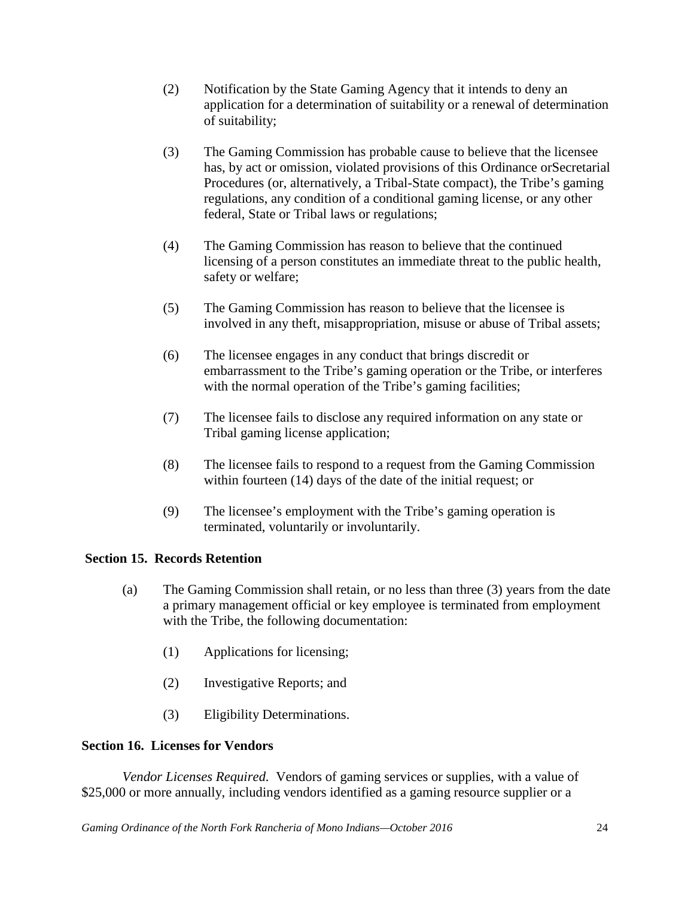- (2) Notification by the State Gaming Agency that it intends to deny an application for a determination of suitability or a renewal of determination of suitability;
- (3) The Gaming Commission has probable cause to believe that the licensee has, by act or omission, violated provisions of this Ordinance orSecretarial Procedures (or, alternatively, a Tribal-State compact), the Tribe's gaming regulations, any condition of a conditional gaming license, or any other federal, State or Tribal laws or regulations;
- (4) The Gaming Commission has reason to believe that the continued licensing of a person constitutes an immediate threat to the public health, safety or welfare;
- (5) The Gaming Commission has reason to believe that the licensee is involved in any theft, misappropriation, misuse or abuse of Tribal assets;
- (6) The licensee engages in any conduct that brings discredit or embarrassment to the Tribe's gaming operation or the Tribe, or interferes with the normal operation of the Tribe's gaming facilities;
- (7) The licensee fails to disclose any required information on any state or Tribal gaming license application;
- (8) The licensee fails to respond to a request from the Gaming Commission within fourteen (14) days of the date of the initial request; or
- (9) The licensee's employment with the Tribe's gaming operation is terminated, voluntarily or involuntarily.

# **Section 15. Records Retention**

- (a) The Gaming Commission shall retain, or no less than three (3) years from the date a primary management official or key employee is terminated from employment with the Tribe, the following documentation:
	- (1) Applications for licensing;
	- (2) Investigative Reports; and
	- (3) Eligibility Determinations.

## **Section 16. Licenses for Vendors**

*Vendor Licenses Required.* Vendors of gaming services or supplies, with a value of \$25,000 or more annually, including vendors identified as a gaming resource supplier or a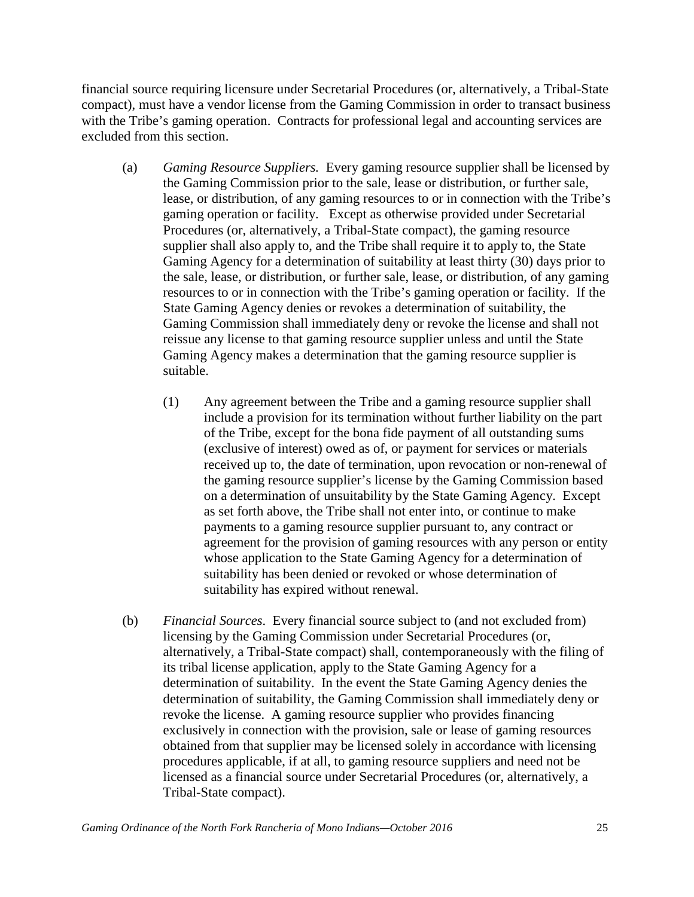financial source requiring licensure under Secretarial Procedures (or, alternatively, a Tribal-State compact), must have a vendor license from the Gaming Commission in order to transact business with the Tribe's gaming operation. Contracts for professional legal and accounting services are excluded from this section.

- (a) *Gaming Resource Suppliers.* Every gaming resource supplier shall be licensed by the Gaming Commission prior to the sale, lease or distribution, or further sale, lease, or distribution, of any gaming resources to or in connection with the Tribe's gaming operation or facility. Except as otherwise provided under Secretarial Procedures (or, alternatively, a Tribal-State compact), the gaming resource supplier shall also apply to, and the Tribe shall require it to apply to, the State Gaming Agency for a determination of suitability at least thirty (30) days prior to the sale, lease, or distribution, or further sale, lease, or distribution, of any gaming resources to or in connection with the Tribe's gaming operation or facility. If the State Gaming Agency denies or revokes a determination of suitability, the Gaming Commission shall immediately deny or revoke the license and shall not reissue any license to that gaming resource supplier unless and until the State Gaming Agency makes a determination that the gaming resource supplier is suitable.
	- (1) Any agreement between the Tribe and a gaming resource supplier shall include a provision for its termination without further liability on the part of the Tribe, except for the bona fide payment of all outstanding sums (exclusive of interest) owed as of, or payment for services or materials received up to, the date of termination, upon revocation or non-renewal of the gaming resource supplier's license by the Gaming Commission based on a determination of unsuitability by the State Gaming Agency. Except as set forth above, the Tribe shall not enter into, or continue to make payments to a gaming resource supplier pursuant to, any contract or agreement for the provision of gaming resources with any person or entity whose application to the State Gaming Agency for a determination of suitability has been denied or revoked or whose determination of suitability has expired without renewal.
- (b) *Financial Sources*. Every financial source subject to (and not excluded from) licensing by the Gaming Commission under Secretarial Procedures (or, alternatively, a Tribal-State compact) shall, contemporaneously with the filing of its tribal license application, apply to the State Gaming Agency for a determination of suitability. In the event the State Gaming Agency denies the determination of suitability, the Gaming Commission shall immediately deny or revoke the license. A gaming resource supplier who provides financing exclusively in connection with the provision, sale or lease of gaming resources obtained from that supplier may be licensed solely in accordance with licensing procedures applicable, if at all, to gaming resource suppliers and need not be licensed as a financial source under Secretarial Procedures (or, alternatively, a Tribal-State compact).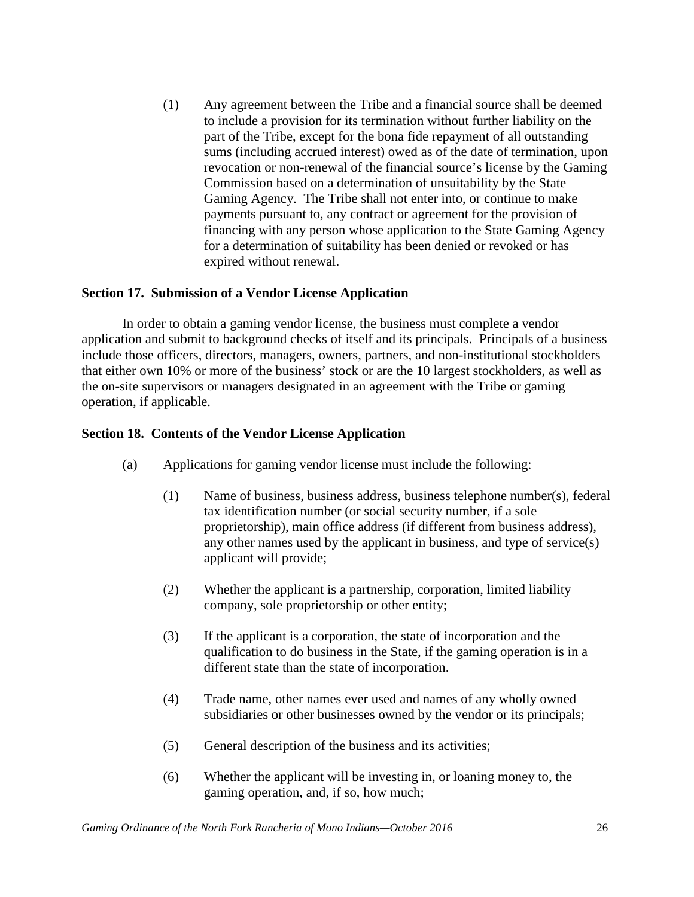(1) Any agreement between the Tribe and a financial source shall be deemed to include a provision for its termination without further liability on the part of the Tribe, except for the bona fide repayment of all outstanding sums (including accrued interest) owed as of the date of termination, upon revocation or non-renewal of the financial source's license by the Gaming Commission based on a determination of unsuitability by the State Gaming Agency. The Tribe shall not enter into, or continue to make payments pursuant to, any contract or agreement for the provision of financing with any person whose application to the State Gaming Agency for a determination of suitability has been denied or revoked or has expired without renewal.

## **Section 17. Submission of a Vendor License Application**

In order to obtain a gaming vendor license, the business must complete a vendor application and submit to background checks of itself and its principals. Principals of a business include those officers, directors, managers, owners, partners, and non-institutional stockholders that either own 10% or more of the business' stock or are the 10 largest stockholders, as well as the on-site supervisors or managers designated in an agreement with the Tribe or gaming operation, if applicable.

#### **Section 18. Contents of the Vendor License Application**

- (a) Applications for gaming vendor license must include the following:
	- (1) Name of business, business address, business telephone number(s), federal tax identification number (or social security number, if a sole proprietorship), main office address (if different from business address), any other names used by the applicant in business, and type of service(s) applicant will provide;
	- (2) Whether the applicant is a partnership, corporation, limited liability company, sole proprietorship or other entity;
	- (3) If the applicant is a corporation, the state of incorporation and the qualification to do business in the State, if the gaming operation is in a different state than the state of incorporation.
	- (4) Trade name, other names ever used and names of any wholly owned subsidiaries or other businesses owned by the vendor or its principals;
	- (5) General description of the business and its activities;
	- (6) Whether the applicant will be investing in, or loaning money to, the gaming operation, and, if so, how much;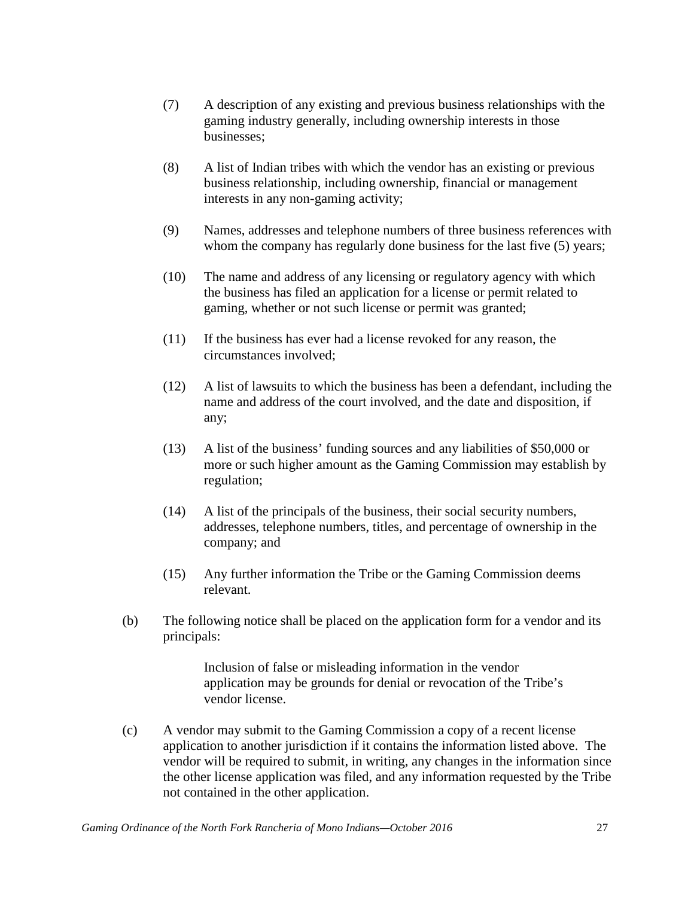- (7) A description of any existing and previous business relationships with the gaming industry generally, including ownership interests in those businesses;
- (8) A list of Indian tribes with which the vendor has an existing or previous business relationship, including ownership, financial or management interests in any non-gaming activity;
- (9) Names, addresses and telephone numbers of three business references with whom the company has regularly done business for the last five (5) years;
- (10) The name and address of any licensing or regulatory agency with which the business has filed an application for a license or permit related to gaming, whether or not such license or permit was granted;
- (11) If the business has ever had a license revoked for any reason, the circumstances involved;
- (12) A list of lawsuits to which the business has been a defendant, including the name and address of the court involved, and the date and disposition, if any;
- (13) A list of the business' funding sources and any liabilities of \$50,000 or more or such higher amount as the Gaming Commission may establish by regulation;
- (14) A list of the principals of the business, their social security numbers, addresses, telephone numbers, titles, and percentage of ownership in the company; and
- (15) Any further information the Tribe or the Gaming Commission deems relevant.
- (b) The following notice shall be placed on the application form for a vendor and its principals:

Inclusion of false or misleading information in the vendor application may be grounds for denial or revocation of the Tribe's vendor license.

(c) A vendor may submit to the Gaming Commission a copy of a recent license application to another jurisdiction if it contains the information listed above. The vendor will be required to submit, in writing, any changes in the information since the other license application was filed, and any information requested by the Tribe not contained in the other application.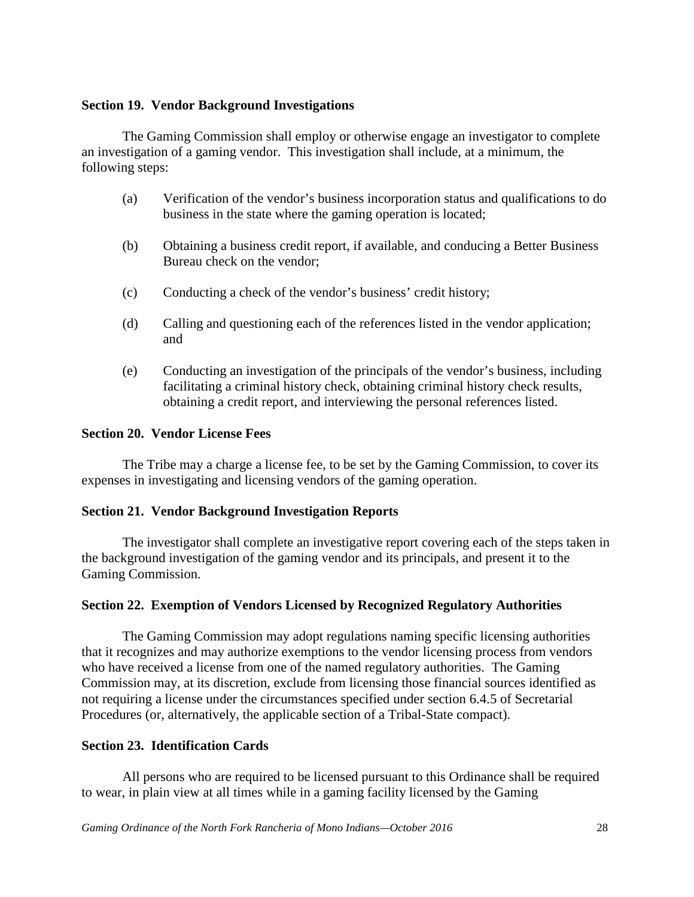### **Section 19. Vendor Background Investigations**

The Gaming Commission shall employ or otherwise engage an investigator to complete an investigation of a gaming vendor. This investigation shall include, at a minimum, the following steps:

- (a) Verification of the vendor's business incorporation status and qualifications to do business in the state where the gaming operation is located;
- (b) Obtaining a business credit report, if available, and conducing a Better Business Bureau check on the vendor;
- (c) Conducting a check of the vendor's business' credit history;
- (d) Calling and questioning each of the references listed in the vendor application; and
- (e) Conducting an investigation of the principals of the vendor's business, including facilitating a criminal history check, obtaining criminal history check results, obtaining a credit report, and interviewing the personal references listed.

#### **Section 20. Vendor License Fees**

The Tribe may a charge a license fee, to be set by the Gaming Commission, to cover its expenses in investigating and licensing vendors of the gaming operation.

## **Section 21. Vendor Background Investigation Reports**

The investigator shall complete an investigative report covering each of the steps taken in the background investigation of the gaming vendor and its principals, and present it to the Gaming Commission.

## **Section 22. Exemption of Vendors Licensed by Recognized Regulatory Authorities**

The Gaming Commission may adopt regulations naming specific licensing authorities that it recognizes and may authorize exemptions to the vendor licensing process from vendors who have received a license from one of the named regulatory authorities. The Gaming Commission may, at its discretion, exclude from licensing those financial sources identified as not requiring a license under the circumstances specified under section 6.4.5 of Secretarial Procedures (or, alternatively, the applicable section of a Tribal-State compact).

#### **Section 23. Identification Cards**

All persons who are required to be licensed pursuant to this Ordinance shall be required to wear, in plain view at all times while in a gaming facility licensed by the Gaming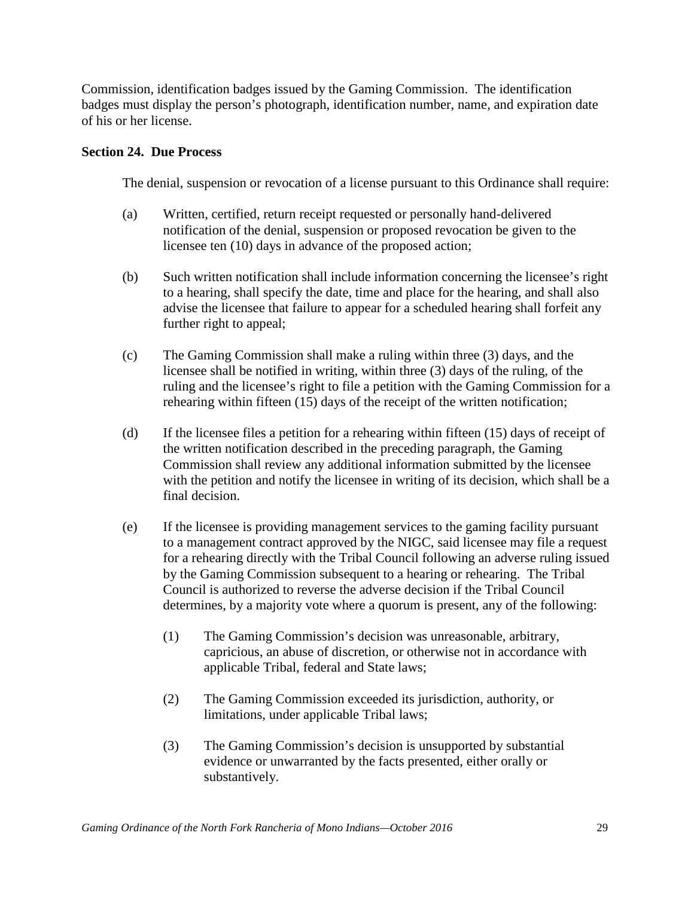Commission, identification badges issued by the Gaming Commission. The identification badges must display the person's photograph, identification number, name, and expiration date of his or her license.

## **Section 24. Due Process**

The denial, suspension or revocation of a license pursuant to this Ordinance shall require:

- (a) Written, certified, return receipt requested or personally hand-delivered notification of the denial, suspension or proposed revocation be given to the licensee ten (10) days in advance of the proposed action;
- (b) Such written notification shall include information concerning the licensee's right to a hearing, shall specify the date, time and place for the hearing, and shall also advise the licensee that failure to appear for a scheduled hearing shall forfeit any further right to appeal;
- (c) The Gaming Commission shall make a ruling within three (3) days, and the licensee shall be notified in writing, within three (3) days of the ruling, of the ruling and the licensee's right to file a petition with the Gaming Commission for a rehearing within fifteen (15) days of the receipt of the written notification;
- (d) If the licensee files a petition for a rehearing within fifteen (15) days of receipt of the written notification described in the preceding paragraph, the Gaming Commission shall review any additional information submitted by the licensee with the petition and notify the licensee in writing of its decision, which shall be a final decision.
- (e) If the licensee is providing management services to the gaming facility pursuant to a management contract approved by the NIGC, said licensee may file a request for a rehearing directly with the Tribal Council following an adverse ruling issued by the Gaming Commission subsequent to a hearing or rehearing. The Tribal Council is authorized to reverse the adverse decision if the Tribal Council determines, by a majority vote where a quorum is present, any of the following:
	- (1) The Gaming Commission's decision was unreasonable, arbitrary, capricious, an abuse of discretion, or otherwise not in accordance with applicable Tribal, federal and State laws;
	- (2) The Gaming Commission exceeded its jurisdiction, authority, or limitations, under applicable Tribal laws;
	- (3) The Gaming Commission's decision is unsupported by substantial evidence or unwarranted by the facts presented, either orally or substantively.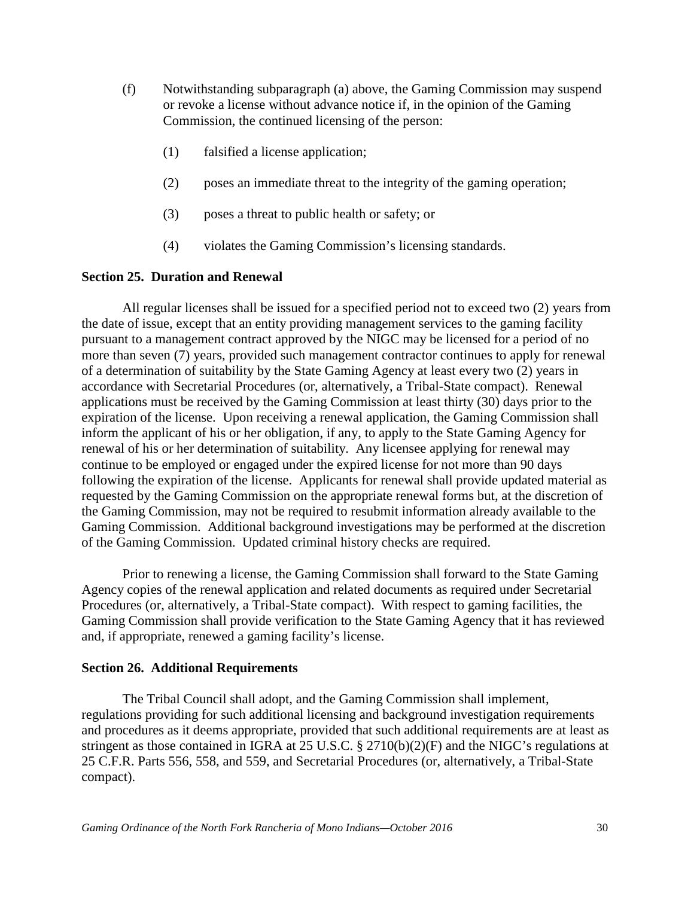- (f) Notwithstanding subparagraph (a) above, the Gaming Commission may suspend or revoke a license without advance notice if, in the opinion of the Gaming Commission, the continued licensing of the person:
	- (1) falsified a license application;
	- (2) poses an immediate threat to the integrity of the gaming operation;
	- (3) poses a threat to public health or safety; or
	- (4) violates the Gaming Commission's licensing standards.

#### **Section 25. Duration and Renewal**

All regular licenses shall be issued for a specified period not to exceed two (2) years from the date of issue, except that an entity providing management services to the gaming facility pursuant to a management contract approved by the NIGC may be licensed for a period of no more than seven (7) years, provided such management contractor continues to apply for renewal of a determination of suitability by the State Gaming Agency at least every two (2) years in accordance with Secretarial Procedures (or, alternatively, a Tribal-State compact). Renewal applications must be received by the Gaming Commission at least thirty (30) days prior to the expiration of the license. Upon receiving a renewal application, the Gaming Commission shall inform the applicant of his or her obligation, if any, to apply to the State Gaming Agency for renewal of his or her determination of suitability. Any licensee applying for renewal may continue to be employed or engaged under the expired license for not more than 90 days following the expiration of the license. Applicants for renewal shall provide updated material as requested by the Gaming Commission on the appropriate renewal forms but, at the discretion of the Gaming Commission, may not be required to resubmit information already available to the Gaming Commission. Additional background investigations may be performed at the discretion of the Gaming Commission. Updated criminal history checks are required.

Prior to renewing a license, the Gaming Commission shall forward to the State Gaming Agency copies of the renewal application and related documents as required under Secretarial Procedures (or, alternatively, a Tribal-State compact). With respect to gaming facilities, the Gaming Commission shall provide verification to the State Gaming Agency that it has reviewed and, if appropriate, renewed a gaming facility's license.

#### **Section 26. Additional Requirements**

The Tribal Council shall adopt, and the Gaming Commission shall implement, regulations providing for such additional licensing and background investigation requirements and procedures as it deems appropriate, provided that such additional requirements are at least as stringent as those contained in IGRA at 25 U.S.C. § 2710(b)(2)(F) and the NIGC's regulations at 25 C.F.R. Parts 556, 558, and 559, and Secretarial Procedures (or, alternatively, a Tribal-State compact).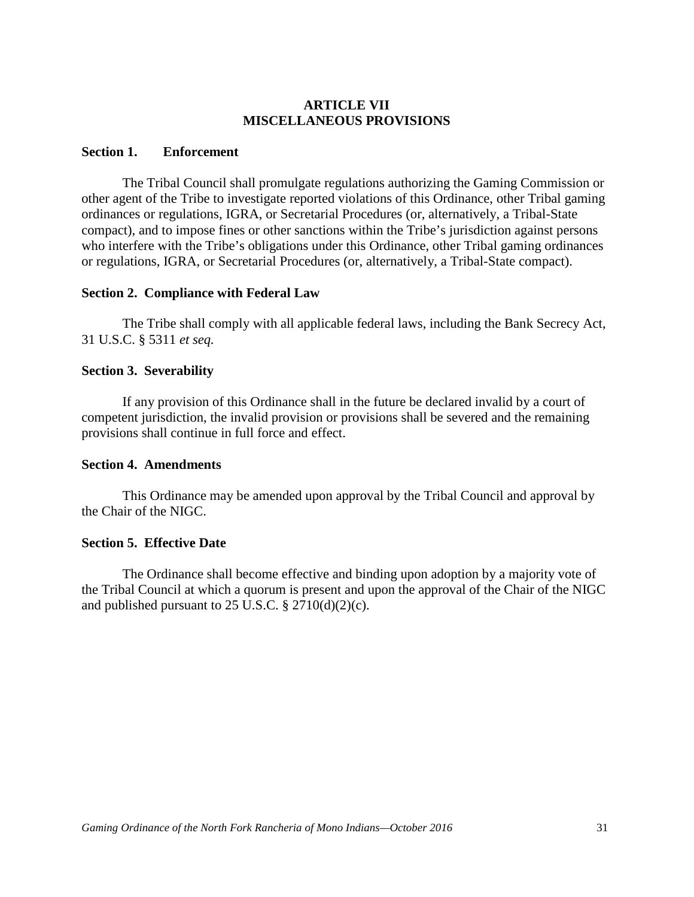# **ARTICLE VII MISCELLANEOUS PROVISIONS**

#### **Section 1. Enforcement**

The Tribal Council shall promulgate regulations authorizing the Gaming Commission or other agent of the Tribe to investigate reported violations of this Ordinance, other Tribal gaming ordinances or regulations, IGRA, or Secretarial Procedures (or, alternatively, a Tribal-State compact), and to impose fines or other sanctions within the Tribe's jurisdiction against persons who interfere with the Tribe's obligations under this Ordinance, other Tribal gaming ordinances or regulations, IGRA, or Secretarial Procedures (or, alternatively, a Tribal-State compact).

#### **Section 2. Compliance with Federal Law**

The Tribe shall comply with all applicable federal laws, including the Bank Secrecy Act, 31 U.S.C. § 5311 *et seq.*

## **Section 3. Severability**

If any provision of this Ordinance shall in the future be declared invalid by a court of competent jurisdiction, the invalid provision or provisions shall be severed and the remaining provisions shall continue in full force and effect.

#### **Section 4. Amendments**

This Ordinance may be amended upon approval by the Tribal Council and approval by the Chair of the NIGC.

## **Section 5. Effective Date**

The Ordinance shall become effective and binding upon adoption by a majority vote of the Tribal Council at which a quorum is present and upon the approval of the Chair of the NIGC and published pursuant to 25 U.S.C.  $\S 2710(d)(2)(c)$ .